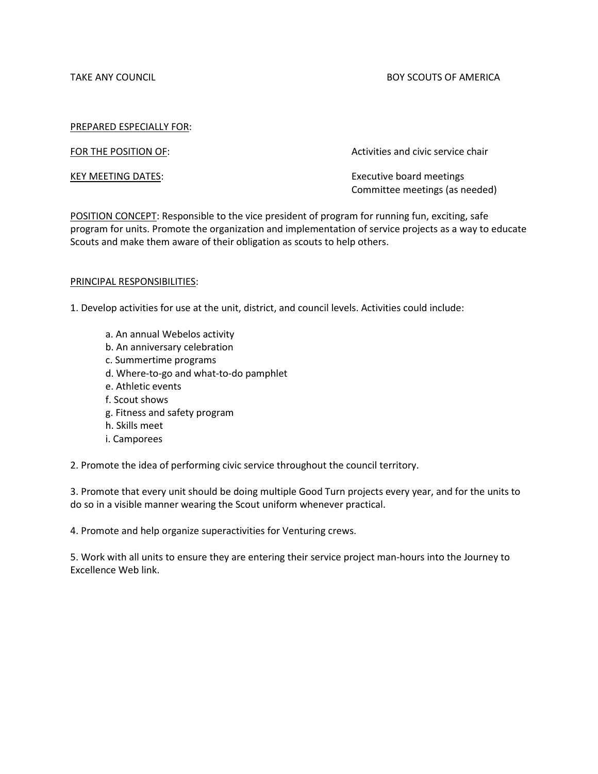TAKE ANY COUNCIL **EXECUTE A SUBSET OF A SUBSETION COUNCIL** BOY SCOUTS OF AMERICA

#### PREPARED ESPECIALLY FOR:

FOR THE POSITION OF: The STATE SERVICE SERVICE SERVICE CHAIRS ACTIVITIES and civic service chair

KEY MEETING DATES: Executive board meetings Committee meetings (as needed)

POSITION CONCEPT: Responsible to the vice president of program for running fun, exciting, safe program for units. Promote the organization and implementation of service projects as a way to educate Scouts and make them aware of their obligation as scouts to help others.

#### PRINCIPAL RESPONSIBILITIES:

1. Develop activities for use at the unit, district, and council levels. Activities could include:

- a. An annual Webelos activity
- b. An anniversary celebration
- c. Summertime programs
- d. Where-to-go and what-to-do pamphlet
- e. Athletic events
- f. Scout shows
- g. Fitness and safety program
- h. Skills meet
- i. Camporees

2. Promote the idea of performing civic service throughout the council territory.

3. Promote that every unit should be doing multiple Good Turn projects every year, and for the units to do so in a visible manner wearing the Scout uniform whenever practical.

4. Promote and help organize superactivities for Venturing crews.

5. Work with all units to ensure they are entering their service project man-hours into the Journey to Excellence Web link.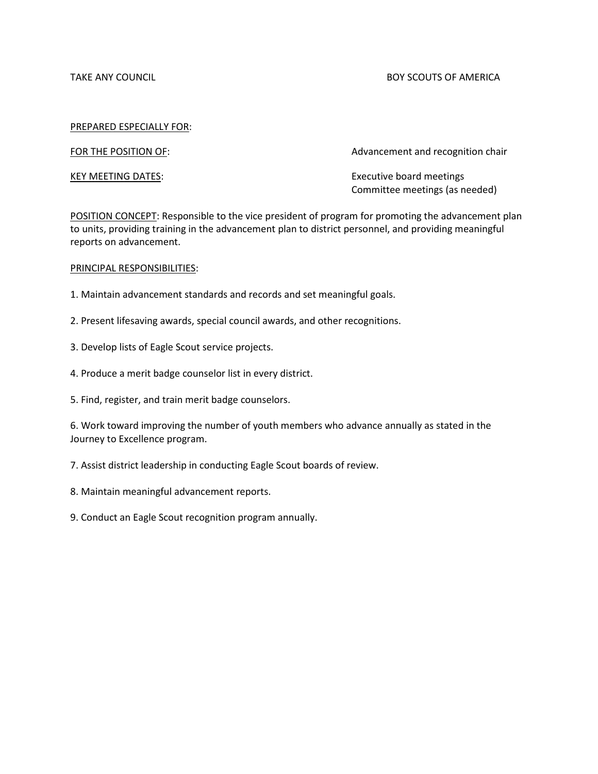TAKE ANY COUNCIL **EXECUTE A SUBSET OF A SUBSETION COUNCIL** BOY SCOUTS OF AMERICA

#### PREPARED ESPECIALLY FOR:

FOR THE POSITION OF: The STATE STATE STATE Advancement and recognition chair

KEY MEETING DATES: Executive board meetings Committee meetings (as needed)

POSITION CONCEPT: Responsible to the vice president of program for promoting the advancement plan to units, providing training in the advancement plan to district personnel, and providing meaningful reports on advancement.

#### PRINCIPAL RESPONSIBILITIES:

- 1. Maintain advancement standards and records and set meaningful goals.
- 2. Present lifesaving awards, special council awards, and other recognitions.
- 3. Develop lists of Eagle Scout service projects.
- 4. Produce a merit badge counselor list in every district.
- 5. Find, register, and train merit badge counselors.

6. Work toward improving the number of youth members who advance annually as stated in the Journey to Excellence program.

- 7. Assist district leadership in conducting Eagle Scout boards of review.
- 8. Maintain meaningful advancement reports.
- 9. Conduct an Eagle Scout recognition program annually.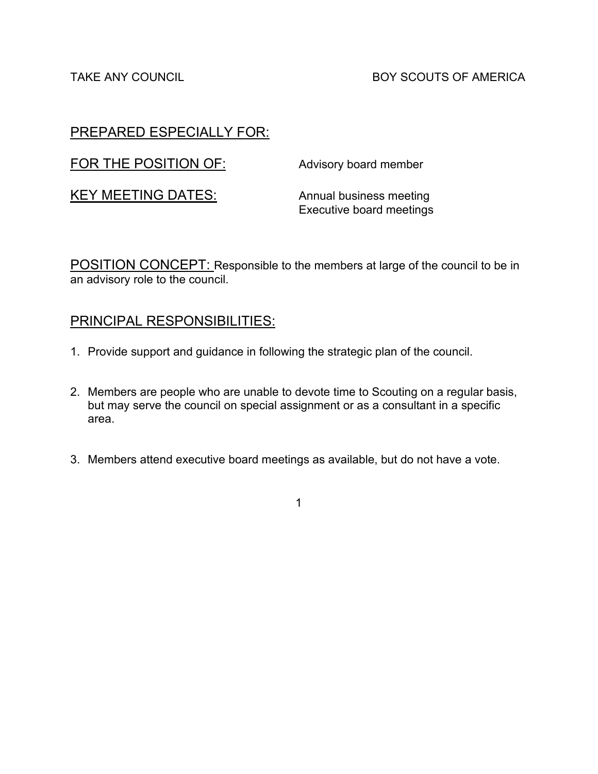TAKE ANY COUNCIL **EXECUTS** BOY SCOUTS OF AMERICA

# PREPARED ESPECIALLY FOR:

| FOR THE POSITION OF:      | Advisory board member                                      |
|---------------------------|------------------------------------------------------------|
| <b>KEY MEETING DATES:</b> | Annual business meeting<br><b>Executive board meetings</b> |

POSITION CONCEPT: Responsible to the members at large of the council to be in an advisory role to the council.

# PRINCIPAL RESPONSIBILITIES:

- 1. Provide support and guidance in following the strategic plan of the council.
- 2. Members are people who are unable to devote time to Scouting on a regular basis, but may serve the council on special assignment or as a consultant in a specific area.
- 3. Members attend executive board meetings as available, but do not have a vote.

1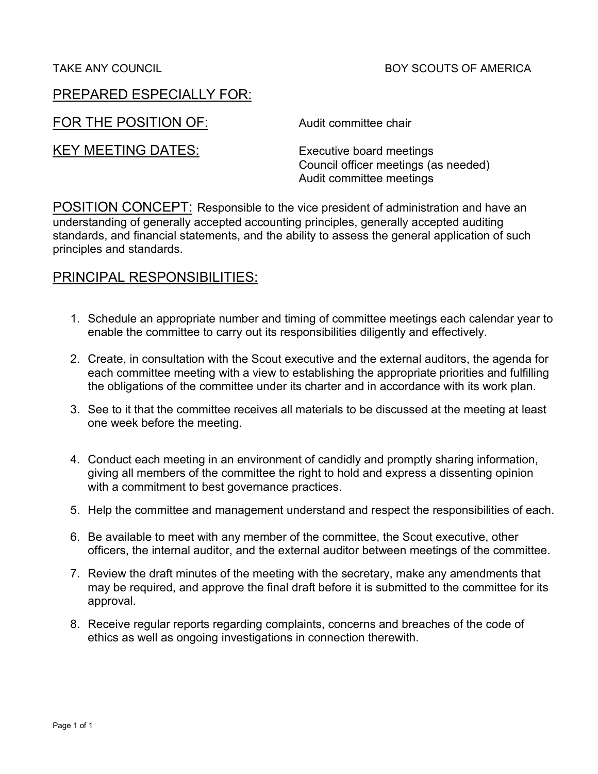FOR THE POSITION OF: Audit committee chair

KEY MEETING DATES: Executive board meetings

Council officer meetings (as needed) Audit committee meetings

POSITION CONCEPT: Responsible to the vice president of administration and have an understanding of generally accepted accounting principles, generally accepted auditing standards, and financial statements, and the ability to assess the general application of such principles and standards.

- 1. Schedule an appropriate number and timing of committee meetings each calendar year to enable the committee to carry out its responsibilities diligently and effectively.
- 2. Create, in consultation with the Scout executive and the external auditors, the agenda for each committee meeting with a view to establishing the appropriate priorities and fulfilling the obligations of the committee under its charter and in accordance with its work plan.
- 3. See to it that the committee receives all materials to be discussed at the meeting at least one week before the meeting.
- 4. Conduct each meeting in an environment of candidly and promptly sharing information, giving all members of the committee the right to hold and express a dissenting opinion with a commitment to best governance practices.
- 5. Help the committee and management understand and respect the responsibilities of each.
- 6. Be available to meet with any member of the committee, the Scout executive, other officers, the internal auditor, and the external auditor between meetings of the committee.
- 7. Review the draft minutes of the meeting with the secretary, make any amendments that may be required, and approve the final draft before it is submitted to the committee for its approval.
- 8. Receive regular reports regarding complaints, concerns and breaches of the code of ethics as well as ongoing investigations in connection therewith.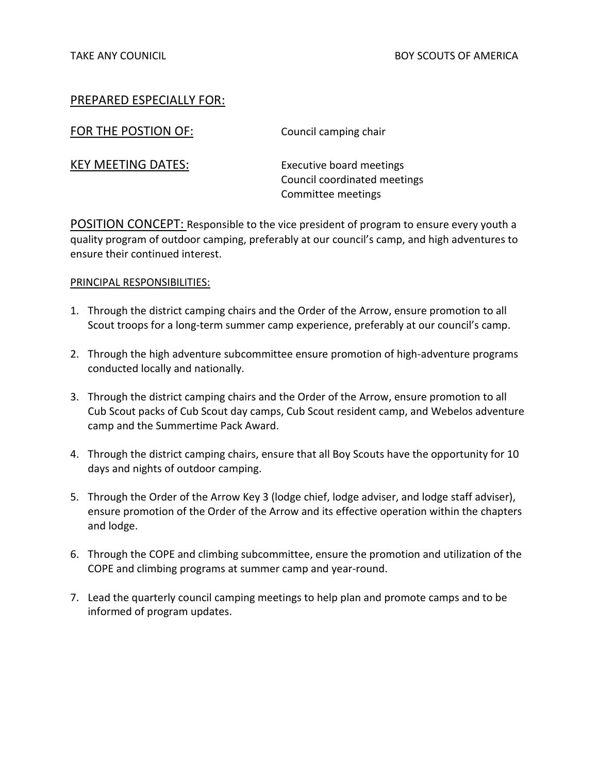| FOR THE POSTION OF:       | Council camping chair                                                          |
|---------------------------|--------------------------------------------------------------------------------|
| <b>KEY MEETING DATES:</b> | Executive board meetings<br>Council coordinated meetings<br>Committee meetings |

POSITION CONCEPT: Responsible to the vice president of program to ensure every youth a quality program of outdoor camping, preferably at our council's camp, and high adventures to ensure their continued interest.

- 1. Through the district camping chairs and the Order of the Arrow, ensure promotion to all Scout troops for a long-term summer camp experience, preferably at our council's camp.
- 2. Through the high adventure subcommittee ensure promotion of high-adventure programs conducted locally and nationally.
- 3. Through the district camping chairs and the Order of the Arrow, ensure promotion to all Cub Scout packs of Cub Scout day camps, Cub Scout resident camp, and Webelos adventure camp and the Summertime Pack Award.
- 4. Through the district camping chairs, ensure that all Boy Scouts have the opportunity for 10 days and nights of outdoor camping.
- 5. Through the Order of the Arrow Key 3 (lodge chief, lodge adviser, and lodge staff adviser), ensure promotion of the Order of the Arrow and its effective operation within the chapters and lodge.
- 6. Through the COPE and climbing subcommittee, ensure the promotion and utilization of the COPE and climbing programs at summer camp and year-round.
- 7. Lead the quarterly council camping meetings to help plan and promote camps and to be informed of program updates.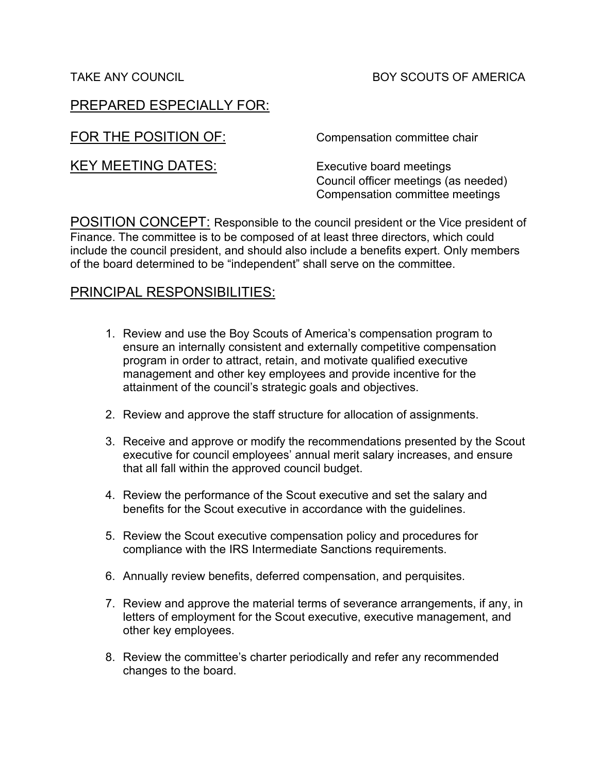# TAKE ANY COUNCIL **Example 2018 TAKE ANY SCOUTS OF AMERICA**

# PREPARED ESPECIALLY FOR:

FOR THE POSITION OF: Compensation committee chair

KEY MEETING DATES: Executive board meetings

Council officer meetings (as needed) Compensation committee meetings

POSITION CONCEPT: Responsible to the council president or the Vice president of Finance. The committee is to be composed of at least three directors, which could include the council president, and should also include a benefits expert. Only members of the board determined to be "independent" shall serve on the committee.

- 1. Review and use the Boy Scouts of America's compensation program to ensure an internally consistent and externally competitive compensation program in order to attract, retain, and motivate qualified executive management and other key employees and provide incentive for the attainment of the council's strategic goals and objectives.
- 2. Review and approve the staff structure for allocation of assignments.
- 3. Receive and approve or modify the recommendations presented by the Scout executive for council employees' annual merit salary increases, and ensure that all fall within the approved council budget.
- 4. Review the performance of the Scout executive and set the salary and benefits for the Scout executive in accordance with the guidelines.
- 5. Review the Scout executive compensation policy and procedures for compliance with the IRS Intermediate Sanctions requirements.
- 6. Annually review benefits, deferred compensation, and perquisites.
- 7. Review and approve the material terms of severance arrangements, if any, in letters of employment for the Scout executive, executive management, and other key employees.
- 8. Review the committee's charter periodically and refer any recommended changes to the board.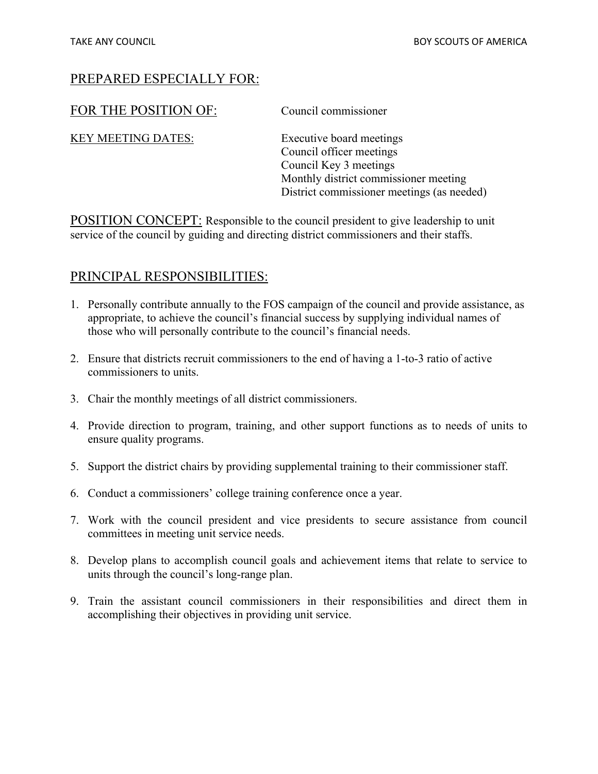# FOR THE POSITION OF: Council commissioner

KEY MEETING DATES: Executive board meetings

Council officer meetings Council Key 3 meetings Monthly district commissioner meeting District commissioner meetings (as needed)

POSITION CONCEPT: Responsible to the council president to give leadership to unit service of the council by guiding and directing district commissioners and their staffs.

- 1. Personally contribute annually to the FOS campaign of the council and provide assistance, as appropriate, to achieve the council's financial success by supplying individual names of those who will personally contribute to the council's financial needs.
- 2. Ensure that districts recruit commissioners to the end of having a 1-to-3 ratio of active commissioners to units.
- 3. Chair the monthly meetings of all district commissioners.
- 4. Provide direction to program, training, and other support functions as to needs of units to ensure quality programs.
- 5. Support the district chairs by providing supplemental training to their commissioner staff.
- 6. Conduct a commissioners' college training conference once a year.
- 7. Work with the council president and vice presidents to secure assistance from council committees in meeting unit service needs.
- 8. Develop plans to accomplish council goals and achievement items that relate to service to units through the council's long-range plan.
- 9. Train the assistant council commissioners in their responsibilities and direct them in accomplishing their objectives in providing unit service.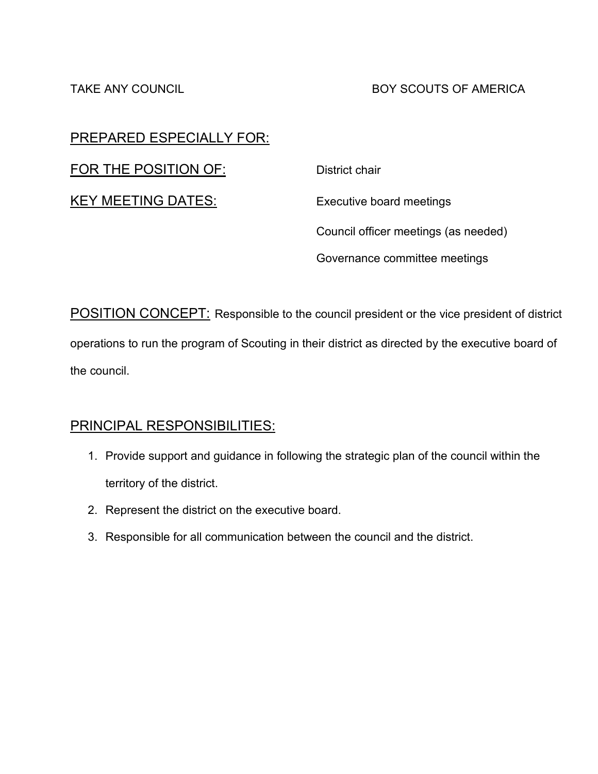# TAKE ANY COUNCIL **Example 2018 TAKE ANY COUNCIL** BOY SCOUTS OF AMERICA

# PREPARED ESPECIALLY FOR:

FOR THE POSITION OF: District chair

KEY MEETING DATES: Executive board meetings

Council officer meetings (as needed) Governance committee meetings

POSITION CONCEPT: Responsible to the council president or the vice president of district operations to run the program of Scouting in their district as directed by the executive board of the council.

- 1. Provide support and guidance in following the strategic plan of the council within the territory of the district.
- 2. Represent the district on the executive board.
- 3. Responsible for all communication between the council and the district.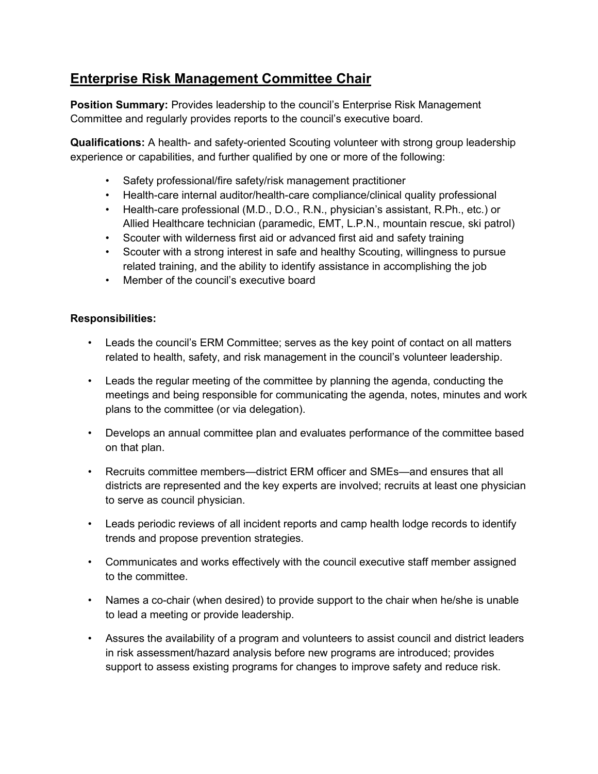# **Enterprise Risk Management Committee Chair**

**Position Summary:** Provides leadership to the council's Enterprise Risk Management Committee and regularly provides reports to the council's executive board.

**Qualifications:** A health- and safety-oriented Scouting volunteer with strong group leadership experience or capabilities, and further qualified by one or more of the following:

- Safety professional/fire safety/risk management practitioner
- Health-care internal auditor/health-care compliance/clinical quality professional
- Health-care professional (M.D., D.O., R.N., physician's assistant, R.Ph., etc.) or Allied Healthcare technician (paramedic, EMT, L.P.N., mountain rescue, ski patrol)
- Scouter with wilderness first aid or advanced first aid and safety training
- Scouter with a strong interest in safe and healthy Scouting, willingness to pursue related training, and the ability to identify assistance in accomplishing the job
- Member of the council's executive board

# **Responsibilities:**

- Leads the council's ERM Committee; serves as the key point of contact on all matters related to health, safety, and risk management in the council's volunteer leadership.
- Leads the regular meeting of the committee by planning the agenda, conducting the meetings and being responsible for communicating the agenda, notes, minutes and work plans to the committee (or via delegation).
- Develops an annual committee plan and evaluates performance of the committee based on that plan.
- Recruits committee members—district ERM officer and SMEs—and ensures that all districts are represented and the key experts are involved; recruits at least one physician to serve as council physician.
- Leads periodic reviews of all incident reports and camp health lodge records to identify trends and propose prevention strategies.
- Communicates and works effectively with the council executive staff member assigned to the committee.
- Names a co-chair (when desired) to provide support to the chair when he/she is unable to lead a meeting or provide leadership.
- Assures the availability of a program and volunteers to assist council and district leaders in risk assessment/hazard analysis before new programs are introduced; provides support to assess existing programs for changes to improve safety and reduce risk.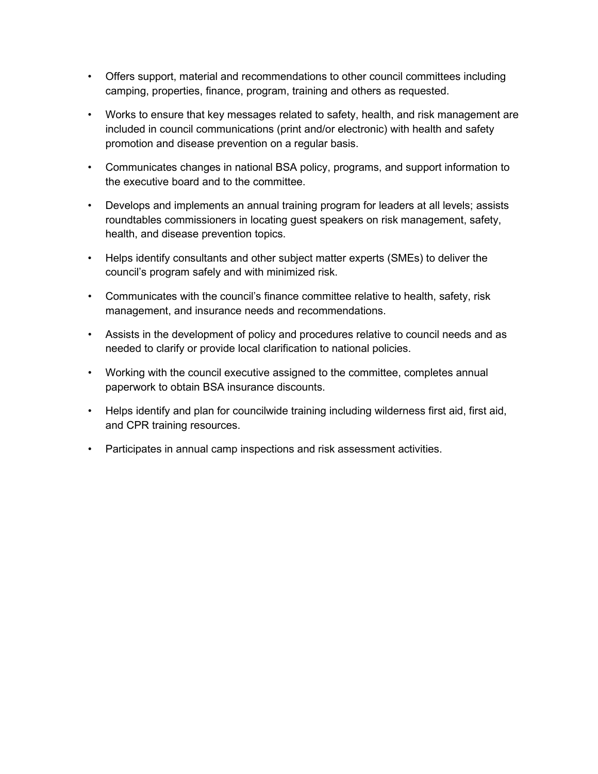- Offers support, material and recommendations to other council committees including camping, properties, finance, program, training and others as requested.
- Works to ensure that key messages related to safety, health, and risk management are included in council communications (print and/or electronic) with health and safety promotion and disease prevention on a regular basis.
- Communicates changes in national BSA policy, programs, and support information to the executive board and to the committee.
- Develops and implements an annual training program for leaders at all levels; assists roundtables commissioners in locating guest speakers on risk management, safety, health, and disease prevention topics.
- Helps identify consultants and other subject matter experts (SMEs) to deliver the council's program safely and with minimized risk.
- Communicates with the council's finance committee relative to health, safety, risk management, and insurance needs and recommendations.
- Assists in the development of policy and procedures relative to council needs and as needed to clarify or provide local clarification to national policies.
- Working with the council executive assigned to the committee, completes annual paperwork to obtain BSA insurance discounts.
- Helps identify and plan for councilwide training including wilderness first aid, first aid, and CPR training resources.
- Participates in annual camp inspections and risk assessment activities.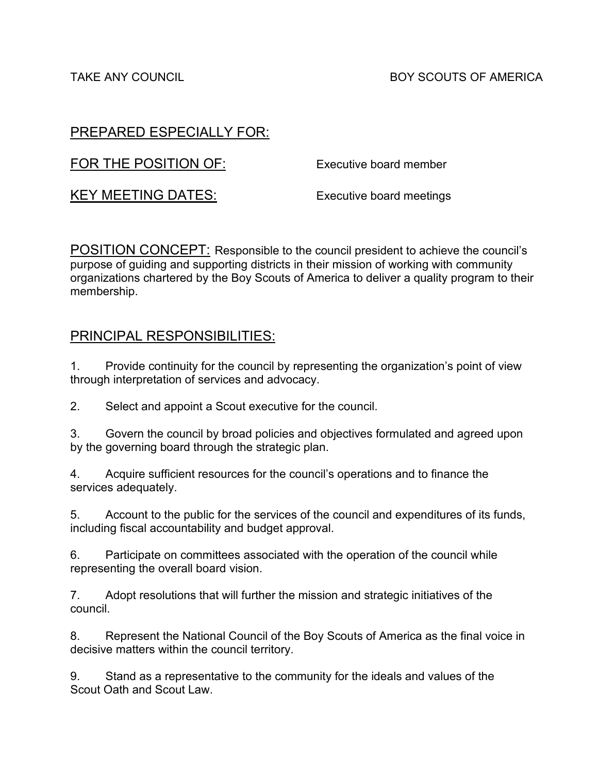TAKE ANY COUNCIL **Example 2018 TAKE ANY COUNCIL** BOY SCOUTS OF AMERICA

# PREPARED ESPECIALLY FOR:

FOR THE POSITION OF: Executive board member

KEY MEETING DATES: Executive board meetings

POSITION CONCEPT: Responsible to the council president to achieve the council's purpose of guiding and supporting districts in their mission of working with community organizations chartered by the Boy Scouts of America to deliver a quality program to their membership.

# PRINCIPAL RESPONSIBILITIES:

1. Provide continuity for the council by representing the organization's point of view through interpretation of services and advocacy.

2. Select and appoint a Scout executive for the council.

3. Govern the council by broad policies and objectives formulated and agreed upon by the governing board through the strategic plan.

4. Acquire sufficient resources for the council's operations and to finance the services adequately.

5. Account to the public for the services of the council and expenditures of its funds, including fiscal accountability and budget approval.

6. Participate on committees associated with the operation of the council while representing the overall board vision.

7. Adopt resolutions that will further the mission and strategic initiatives of the council.

8. Represent the National Council of the Boy Scouts of America as the final voice in decisive matters within the council territory.

9. Stand as a representative to the community for the ideals and values of the Scout Oath and Scout Law.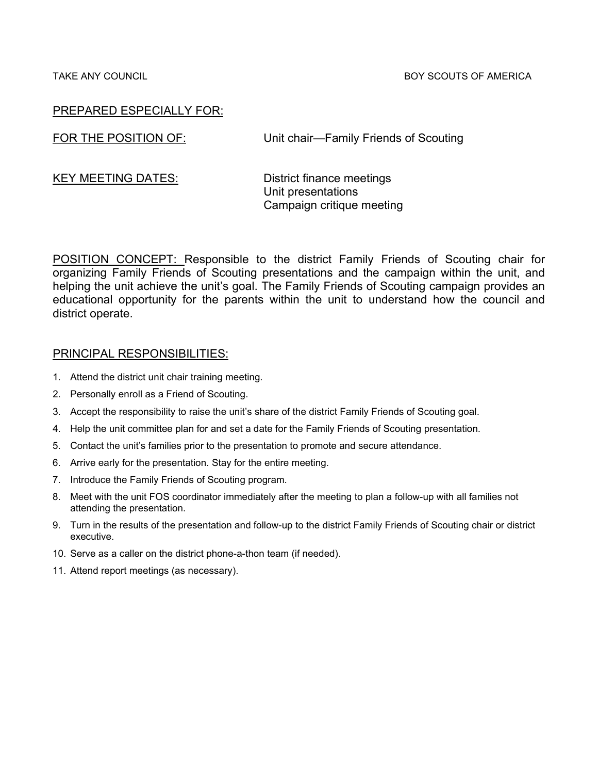TAKE ANY COUNCIL BOY SCOUTS OF AMERICA

## PREPARED ESPECIALLY FOR:

FOR THE POSITION OF: Unit chair—Family Friends of Scouting

KEY MEETING DATES: District finance meetings Unit presentations Campaign critique meeting

POSITION CONCEPT: Responsible to the district Family Friends of Scouting chair for organizing Family Friends of Scouting presentations and the campaign within the unit, and helping the unit achieve the unit's goal. The Family Friends of Scouting campaign provides an educational opportunity for the parents within the unit to understand how the council and district operate.

- 1. Attend the district unit chair training meeting.
- 2. Personally enroll as a Friend of Scouting.
- 3. Accept the responsibility to raise the unit's share of the district Family Friends of Scouting goal.
- 4. Help the unit committee plan for and set a date for the Family Friends of Scouting presentation.
- 5. Contact the unit's families prior to the presentation to promote and secure attendance.
- 6. Arrive early for the presentation. Stay for the entire meeting.
- 7. Introduce the Family Friends of Scouting program.
- 8. Meet with the unit FOS coordinator immediately after the meeting to plan a follow-up with all families not attending the presentation.
- 9. Turn in the results of the presentation and follow-up to the district Family Friends of Scouting chair or district executive.
- 10. Serve as a caller on the district phone-a-thon team (if needed).
- 11. Attend report meetings (as necessary).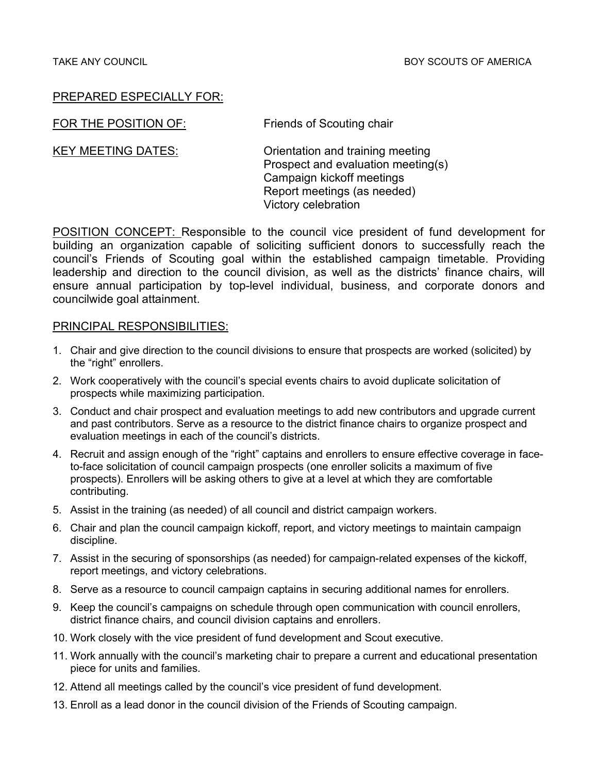FOR THE POSITION OF: Friends of Scouting chair

KEY MEETING DATES: Crientation and training meeting Prospect and evaluation meeting(s) Campaign kickoff meetings Report meetings (as needed) Victory celebration

POSITION CONCEPT: Responsible to the council vice president of fund development for building an organization capable of soliciting sufficient donors to successfully reach the council's Friends of Scouting goal within the established campaign timetable. Providing leadership and direction to the council division, as well as the districts' finance chairs, will ensure annual participation by top-level individual, business, and corporate donors and councilwide goal attainment.

- 1. Chair and give direction to the council divisions to ensure that prospects are worked (solicited) by the "right" enrollers.
- 2. Work cooperatively with the council's special events chairs to avoid duplicate solicitation of prospects while maximizing participation.
- 3. Conduct and chair prospect and evaluation meetings to add new contributors and upgrade current and past contributors. Serve as a resource to the district finance chairs to organize prospect and evaluation meetings in each of the council's districts.
- 4. Recruit and assign enough of the "right" captains and enrollers to ensure effective coverage in faceto-face solicitation of council campaign prospects (one enroller solicits a maximum of five prospects). Enrollers will be asking others to give at a level at which they are comfortable contributing.
- 5. Assist in the training (as needed) of all council and district campaign workers.
- 6. Chair and plan the council campaign kickoff, report, and victory meetings to maintain campaign discipline.
- 7. Assist in the securing of sponsorships (as needed) for campaign-related expenses of the kickoff, report meetings, and victory celebrations.
- 8. Serve as a resource to council campaign captains in securing additional names for enrollers.
- 9. Keep the council's campaigns on schedule through open communication with council enrollers, district finance chairs, and council division captains and enrollers.
- 10. Work closely with the vice president of fund development and Scout executive.
- 11. Work annually with the council's marketing chair to prepare a current and educational presentation piece for units and families.
- 12. Attend all meetings called by the council's vice president of fund development.
- 13. Enroll as a lead donor in the council division of the Friends of Scouting campaign.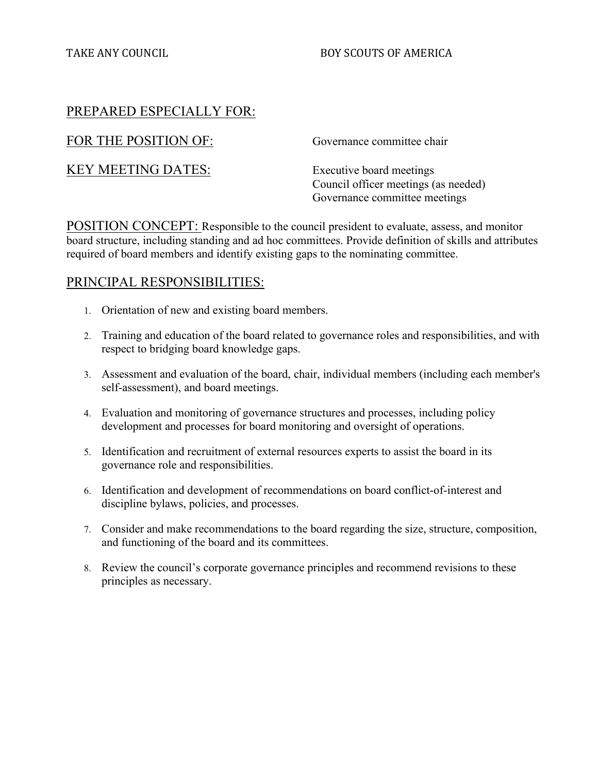## TAKE ANY COUNCIL **Example 20** BOY SCOUTS OF AMERICA

# PREPARED ESPECIALLY FOR:

FOR THE POSITION OF: Governance committee chair

KEY MEETING DATES: Executive board meetings

Council officer meetings (as needed) Governance committee meetings

POSITION CONCEPT: Responsible to the council president to evaluate, assess, and monitor board structure, including standing and ad hoc committees. Provide definition of skills and attributes required of board members and identify existing gaps to the nominating committee.

- 1. Orientation of new and existing board members.
- 2. Training and education of the board related to governance roles and responsibilities, and with respect to bridging board knowledge gaps.
- 3. Assessment and evaluation of the board, chair, individual members (including each member's self-assessment), and board meetings.
- 4. Evaluation and monitoring of governance structures and processes, including policy development and processes for board monitoring and oversight of operations.
- 5. Identification and recruitment of external resources experts to assist the board in its governance role and responsibilities.
- 6. Identification and development of recommendations on board conflict-of-interest and discipline bylaws, policies, and processes.
- 7. Consider and make recommendations to the board regarding the size, structure, composition, and functioning of the board and its committees.
- 8. Review the council's corporate governance principles and recommend revisions to these principles as necessary.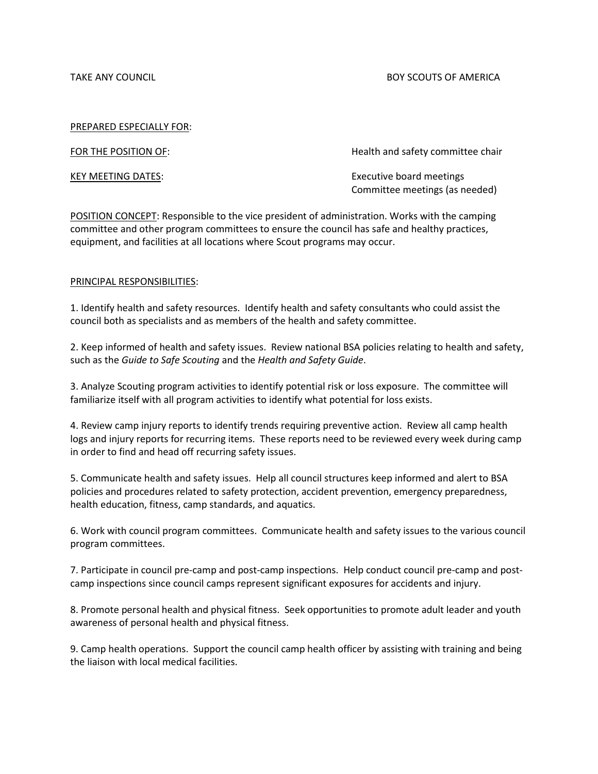TAKE ANY COUNCIL **EXECUTS OF AMERICA BOY SCOUTS OF AMERICA** 

#### PREPARED ESPECIALLY FOR:

FOR THE POSITION OF: The STATE STATE STATE HEALTH AND HEALTH AND HEALTH AND HEALTH AND THE POSITION OF:

KEY MEETING DATES: Executive board meetings Committee meetings (as needed)

POSITION CONCEPT: Responsible to the vice president of administration. Works with the camping committee and other program committees to ensure the council has safe and healthy practices, equipment, and facilities at all locations where Scout programs may occur.

#### PRINCIPAL RESPONSIBILITIES:

1. Identify health and safety resources. Identify health and safety consultants who could assist the council both as specialists and as members of the health and safety committee.

2. Keep informed of health and safety issues. Review national BSA policies relating to health and safety, such as the *Guide to Safe Scouting* and the *Health and Safety Guide*.

3. Analyze Scouting program activities to identify potential risk or loss exposure. The committee will familiarize itself with all program activities to identify what potential for loss exists.

4. Review camp injury reports to identify trends requiring preventive action. Review all camp health logs and injury reports for recurring items. These reports need to be reviewed every week during camp in order to find and head off recurring safety issues.

5. Communicate health and safety issues. Help all council structures keep informed and alert to BSA policies and procedures related to safety protection, accident prevention, emergency preparedness, health education, fitness, camp standards, and aquatics.

6. Work with council program committees. Communicate health and safety issues to the various council program committees.

7. Participate in council pre-camp and post-camp inspections. Help conduct council pre-camp and postcamp inspections since council camps represent significant exposures for accidents and injury.

8. Promote personal health and physical fitness. Seek opportunities to promote adult leader and youth awareness of personal health and physical fitness.

9. Camp health operations. Support the council camp health officer by assisting with training and being the liaison with local medical facilities.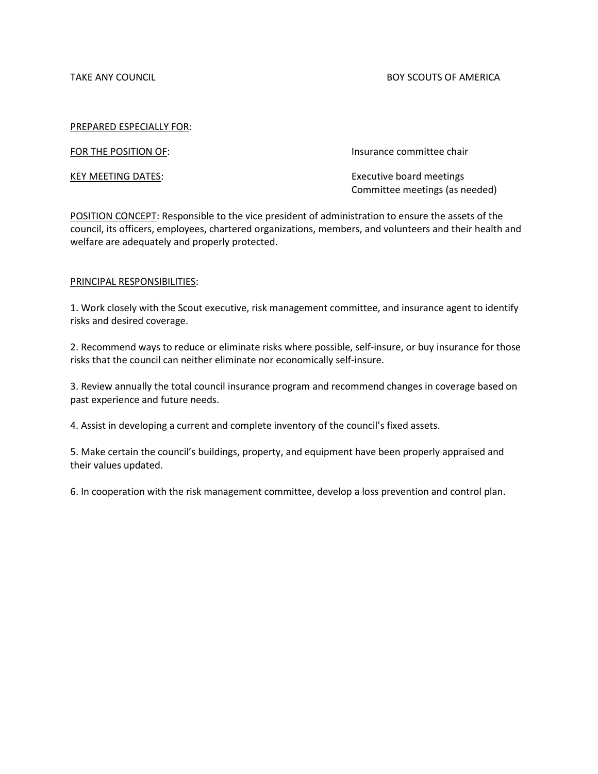TAKE ANY COUNCIL **EXECUTE A SUBSET OF A SUBSETION COUNCIL** BOY SCOUTS OF AMERICA

#### PREPARED ESPECIALLY FOR:

FOR THE POSITION OF: **Insurance committee chair** 

KEY MEETING DATES: Executive board meetings Committee meetings (as needed)

POSITION CONCEPT: Responsible to the vice president of administration to ensure the assets of the council, its officers, employees, chartered organizations, members, and volunteers and their health and welfare are adequately and properly protected.

#### PRINCIPAL RESPONSIBILITIES:

1. Work closely with the Scout executive, risk management committee, and insurance agent to identify risks and desired coverage.

2. Recommend ways to reduce or eliminate risks where possible, self-insure, or buy insurance for those risks that the council can neither eliminate nor economically self-insure.

3. Review annually the total council insurance program and recommend changes in coverage based on past experience and future needs.

4. Assist in developing a current and complete inventory of the council's fixed assets.

5. Make certain the council's buildings, property, and equipment have been properly appraised and their values updated.

6. In cooperation with the risk management committee, develop a loss prevention and control plan.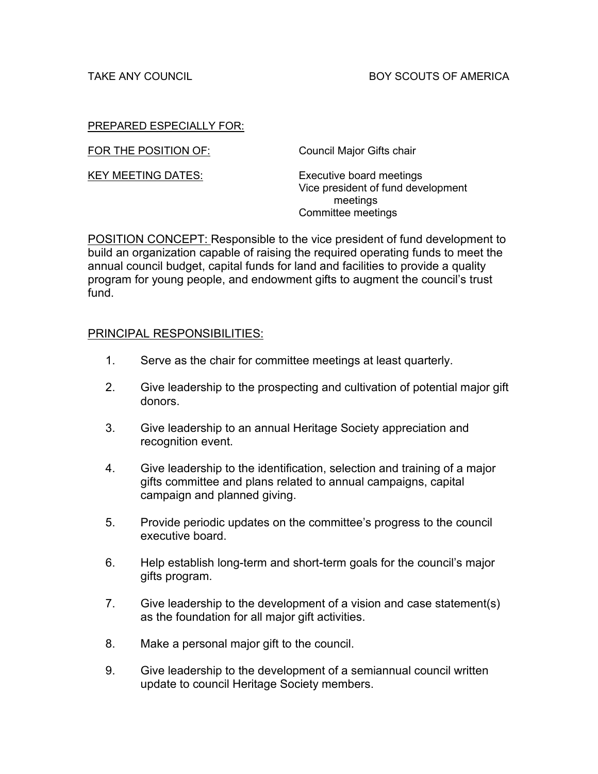FOR THE POSITION OF: Council Major Gifts chair

KEY MEETING DATES: Executive board meetings Vice president of fund development meetings Committee meetings

POSITION CONCEPT: Responsible to the vice president of fund development to build an organization capable of raising the required operating funds to meet the annual council budget, capital funds for land and facilities to provide a quality program for young people, and endowment gifts to augment the council's trust fund.

- 1. Serve as the chair for committee meetings at least quarterly.
- 2. Give leadership to the prospecting and cultivation of potential major gift donors.
- 3. Give leadership to an annual Heritage Society appreciation and recognition event.
- 4. Give leadership to the identification, selection and training of a major gifts committee and plans related to annual campaigns, capital campaign and planned giving.
- 5. Provide periodic updates on the committee's progress to the council executive board.
- 6. Help establish long-term and short-term goals for the council's major gifts program.
- 7. Give leadership to the development of a vision and case statement(s) as the foundation for all major gift activities.
- 8. Make a personal major gift to the council.
- 9. Give leadership to the development of a semiannual council written update to council Heritage Society members.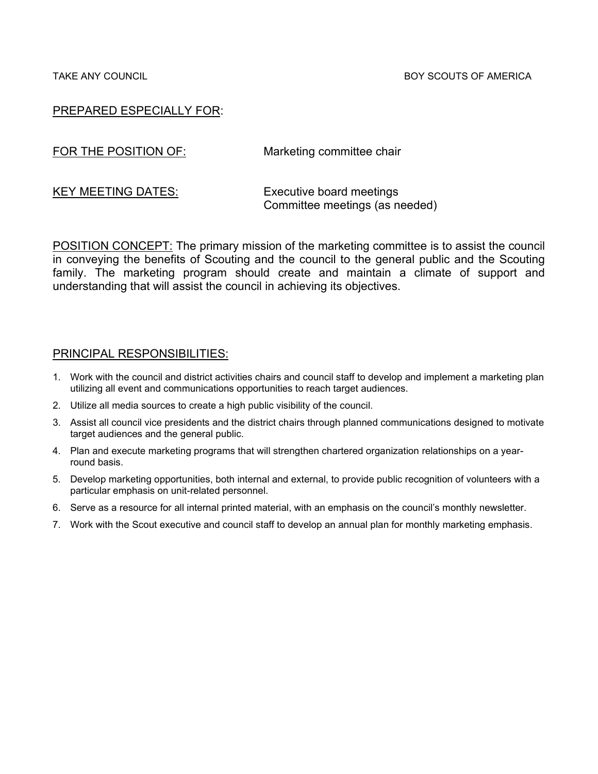FOR THE POSITION OF: Marketing committee chair

KEY MEETING DATES: Executive board meetings Committee meetings (as needed)

POSITION CONCEPT: The primary mission of the marketing committee is to assist the council in conveying the benefits of Scouting and the council to the general public and the Scouting family. The marketing program should create and maintain a climate of support and understanding that will assist the council in achieving its objectives.

- 1. Work with the council and district activities chairs and council staff to develop and implement a marketing plan utilizing all event and communications opportunities to reach target audiences.
- 2. Utilize all media sources to create a high public visibility of the council.
- 3. Assist all council vice presidents and the district chairs through planned communications designed to motivate target audiences and the general public.
- 4. Plan and execute marketing programs that will strengthen chartered organization relationships on a yearround basis.
- 5. Develop marketing opportunities, both internal and external, to provide public recognition of volunteers with a particular emphasis on unit-related personnel.
- 6. Serve as a resource for all internal printed material, with an emphasis on the council's monthly newsletter.
- 7. Work with the Scout executive and council staff to develop an annual plan for monthly marketing emphasis.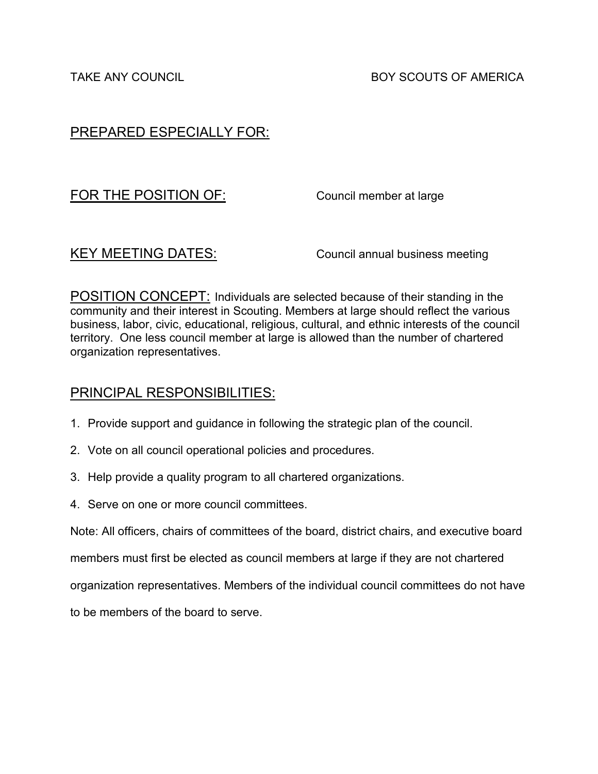# FOR THE POSITION OF: Council member at large

KEY MEETING DATES: Council annual business meeting

POSITION CONCEPT: Individuals are selected because of their standing in the community and their interest in Scouting. Members at large should reflect the various business, labor, civic, educational, religious, cultural, and ethnic interests of the council territory. One less council member at large is allowed than the number of chartered organization representatives.

# PRINCIPAL RESPONSIBILITIES:

- 1. Provide support and guidance in following the strategic plan of the council.
- 2. Vote on all council operational policies and procedures.
- 3. Help provide a quality program to all chartered organizations.
- 4. Serve on one or more council committees.

Note: All officers, chairs of committees of the board, district chairs, and executive board

members must first be elected as council members at large if they are not chartered

organization representatives. Members of the individual council committees do not have

to be members of the board to serve.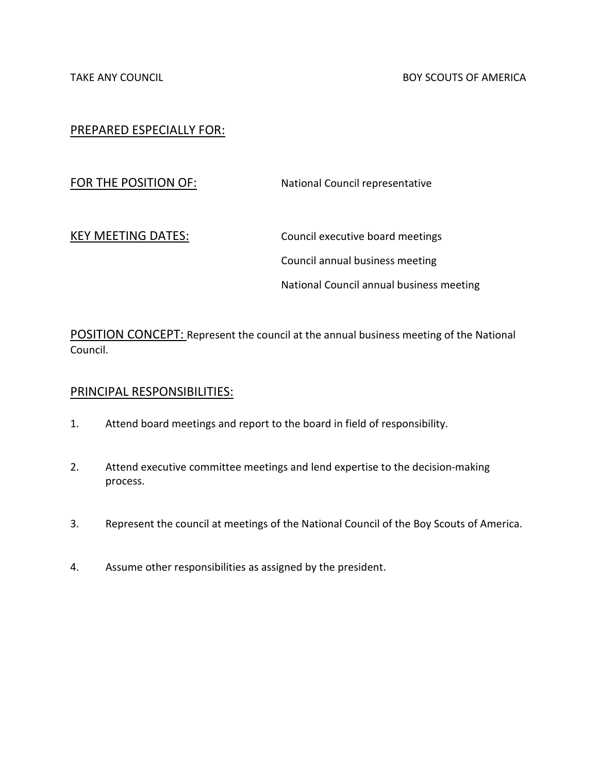FOR THE POSITION OF: National Council representative

KEY MEETING DATES: Council executive board meetings Council annual business meeting National Council annual business meeting

POSITION CONCEPT: Represent the council at the annual business meeting of the National Council.

- 1. Attend board meetings and report to the board in field of responsibility.
- 2. Attend executive committee meetings and lend expertise to the decision-making process.
- 3. Represent the council at meetings of the National Council of the Boy Scouts of America.
- 4. Assume other responsibilities as assigned by the president.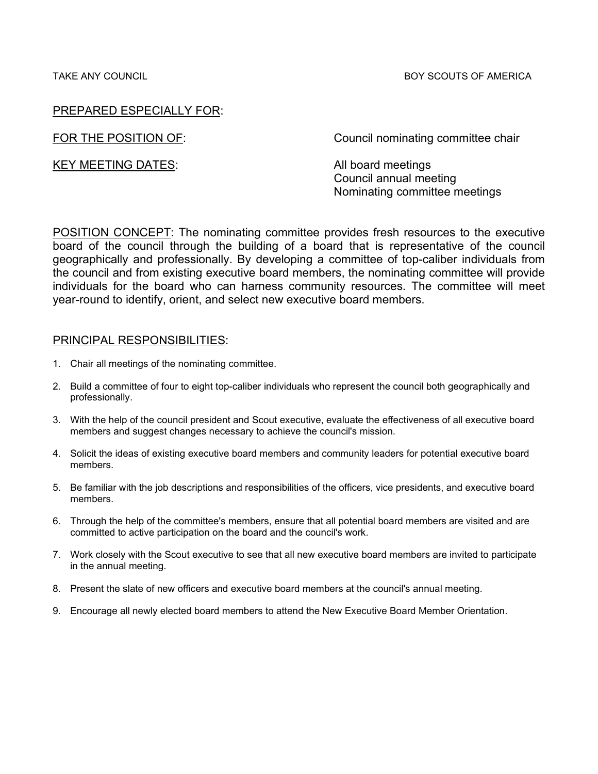TAKE ANY COUNCIL BOY SCOUTS OF AMERICA

# PREPARED ESPECIALLY FOR:

KEY MEETING DATES: All board meetings

FOR THE POSITION OF: Council nominating committee chair

Council annual meeting Nominating committee meetings

POSITION CONCEPT: The nominating committee provides fresh resources to the executive board of the council through the building of a board that is representative of the council geographically and professionally. By developing a committee of top-caliber individuals from the council and from existing executive board members, the nominating committee will provide individuals for the board who can harness community resources. The committee will meet year-round to identify, orient, and select new executive board members.

- 1. Chair all meetings of the nominating committee.
- 2. Build a committee of four to eight top-caliber individuals who represent the council both geographically and professionally.
- 3. With the help of the council president and Scout executive, evaluate the effectiveness of all executive board members and suggest changes necessary to achieve the council's mission.
- 4. Solicit the ideas of existing executive board members and community leaders for potential executive board members.
- 5. Be familiar with the job descriptions and responsibilities of the officers, vice presidents, and executive board members.
- 6. Through the help of the committee's members, ensure that all potential board members are visited and are committed to active participation on the board and the council's work.
- 7. Work closely with the Scout executive to see that all new executive board members are invited to participate in the annual meeting.
- 8. Present the slate of new officers and executive board members at the council's annual meeting.
- 9. Encourage all newly elected board members to attend the New Executive Board Member Orientation.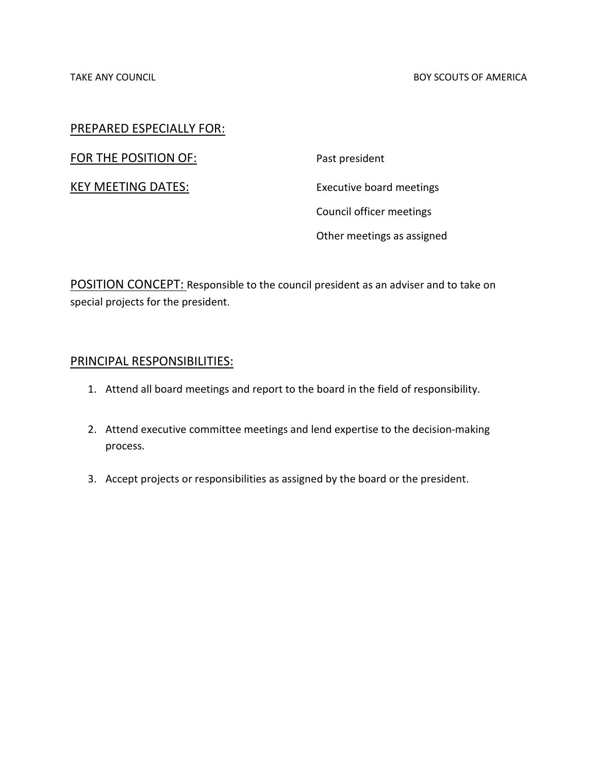FOR THE POSITION OF: Past president

KEY MEETING DATES: Executive board meetings Council officer meetings Other meetings as assigned

POSITION CONCEPT: Responsible to the council president as an adviser and to take on special projects for the president.

- 1. Attend all board meetings and report to the board in the field of responsibility.
- 2. Attend executive committee meetings and lend expertise to the decision-making process.
- 3. Accept projects or responsibilities as assigned by the board or the president.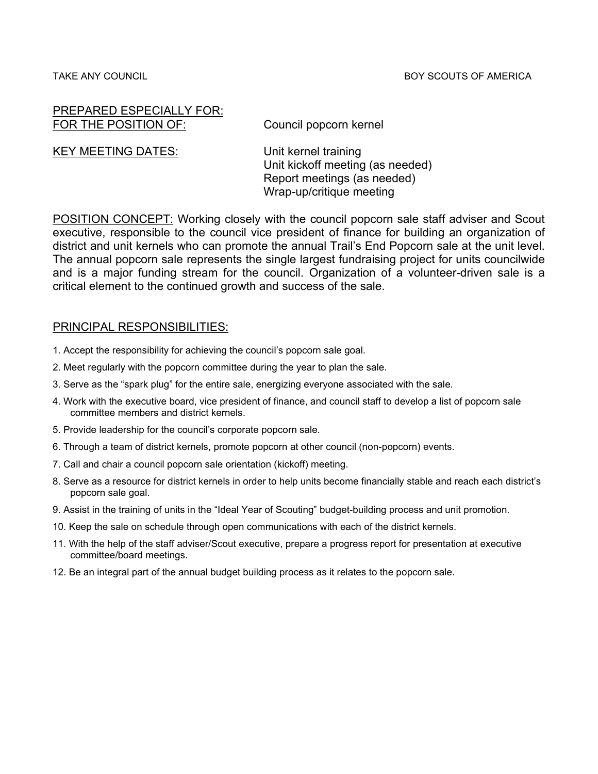#### PREPARED ESPECIALLY FOR: FOR THE POSITION OF: Council popcorn kernel

KEY MEETING DATES: Unit kernel training

Unit kickoff meeting (as needed) Report meetings (as needed) Wrap-up/critique meeting

POSITION CONCEPT: Working closely with the council popcorn sale staff adviser and Scout executive, responsible to the council vice president of finance for building an organization of district and unit kernels who can promote the annual Trail's End Popcorn sale at the unit level. The annual popcorn sale represents the single largest fundraising project for units councilwide and is a major funding stream for the council. Organization of a volunteer-driven sale is a critical element to the continued growth and success of the sale.

- 1. Accept the responsibility for achieving the council's popcorn sale goal.
- 2. Meet regularly with the popcorn committee during the year to plan the sale.
- 3. Serve as the "spark plug" for the entire sale, energizing everyone associated with the sale.
- 4. Work with the executive board, vice president of finance, and council staff to develop a list of popcorn sale committee members and district kernels.
- 5. Provide leadership for the council's corporate popcorn sale.
- 6. Through a team of district kernels, promote popcorn at other council (non-popcorn) events.
- 7. Call and chair a council popcorn sale orientation (kickoff) meeting.
- 8. Serve as a resource for district kernels in order to help units become financially stable and reach each district's popcorn sale goal.
- 9. Assist in the training of units in the "Ideal Year of Scouting" budget-building process and unit promotion.
- 10. Keep the sale on schedule through open communications with each of the district kernels.
- 11. With the help of the staff adviser/Scout executive, prepare a progress report for presentation at executive committee/board meetings.
- 12. Be an integral part of the annual budget building process as it relates to the popcorn sale.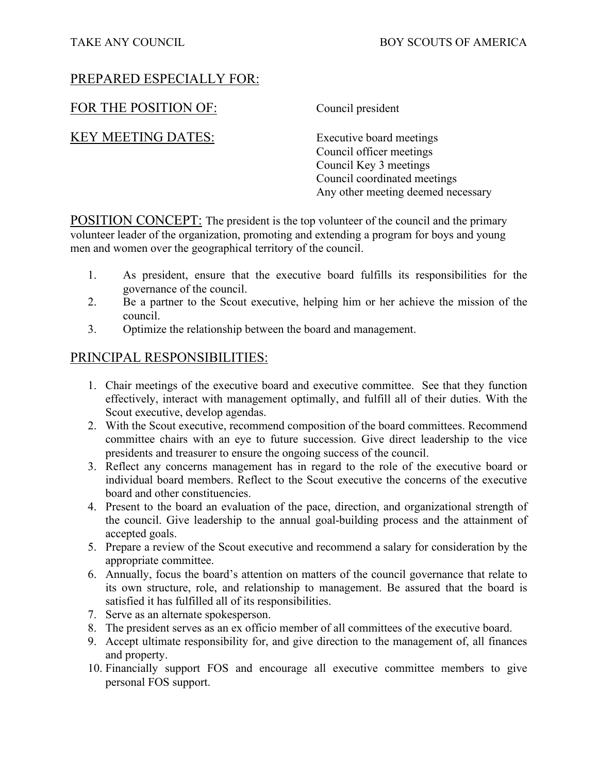# FOR THE POSITION OF: Council president

KEY MEETING DATES: Executive board meetings

Council officer meetings Council Key 3 meetings Council coordinated meetings Any other meeting deemed necessary

POSITION CONCEPT: The president is the top volunteer of the council and the primary volunteer leader of the organization, promoting and extending a program for boys and young men and women over the geographical territory of the council.

- 1. As president, ensure that the executive board fulfills its responsibilities for the governance of the council.
- 2. Be a partner to the Scout executive, helping him or her achieve the mission of the council.
- 3. Optimize the relationship between the board and management.

- 1. Chair meetings of the executive board and executive committee. See that they function effectively, interact with management optimally, and fulfill all of their duties. With the Scout executive, develop agendas.
- 2. With the Scout executive, recommend composition of the board committees. Recommend committee chairs with an eye to future succession. Give direct leadership to the vice presidents and treasurer to ensure the ongoing success of the council.
- 3. Reflect any concerns management has in regard to the role of the executive board or individual board members. Reflect to the Scout executive the concerns of the executive board and other constituencies.
- 4. Present to the board an evaluation of the pace, direction, and organizational strength of the council. Give leadership to the annual goal-building process and the attainment of accepted goals.
- 5. Prepare a review of the Scout executive and recommend a salary for consideration by the appropriate committee.
- 6. Annually, focus the board's attention on matters of the council governance that relate to its own structure, role, and relationship to management. Be assured that the board is satisfied it has fulfilled all of its responsibilities.
- 7. Serve as an alternate spokesperson.
- 8. The president serves as an ex officio member of all committees of the executive board.
- 9. Accept ultimate responsibility for, and give direction to the management of, all finances and property.
- 10. Financially support FOS and encourage all executive committee members to give personal FOS support.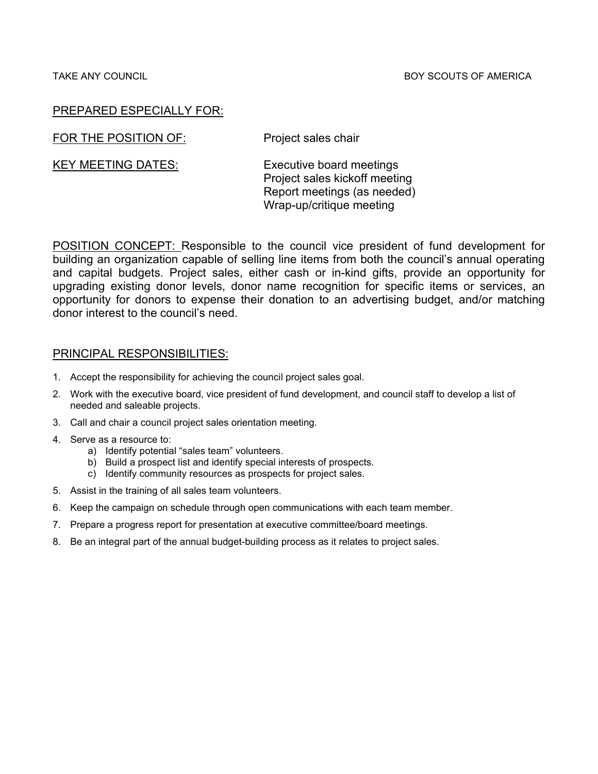FOR THE POSITION OF: Project sales chair

KEY MEETING DATES: Executive board meetings Project sales kickoff meeting Report meetings (as needed)

Wrap-up/critique meeting

POSITION CONCEPT: Responsible to the council vice president of fund development for building an organization capable of selling line items from both the council's annual operating and capital budgets. Project sales, either cash or in-kind gifts, provide an opportunity for upgrading existing donor levels, donor name recognition for specific items or services, an opportunity for donors to expense their donation to an advertising budget, and/or matching donor interest to the council's need.

# PRINCIPAL RESPONSIBILITIES:

- 1. Accept the responsibility for achieving the council project sales goal.
- 2. Work with the executive board, vice president of fund development, and council staff to develop a list of needed and saleable projects.
- 3. Call and chair a council project sales orientation meeting.

#### 4. Serve as a resource to:

- a) Identify potential "sales team" volunteers.
- b) Build a prospect list and identify special interests of prospects.
- c) Identify community resources as prospects for project sales.
- 5. Assist in the training of all sales team volunteers.
- 6. Keep the campaign on schedule through open communications with each team member.
- 7. Prepare a progress report for presentation at executive committee/board meetings.
- 8. Be an integral part of the annual budget-building process as it relates to project sales.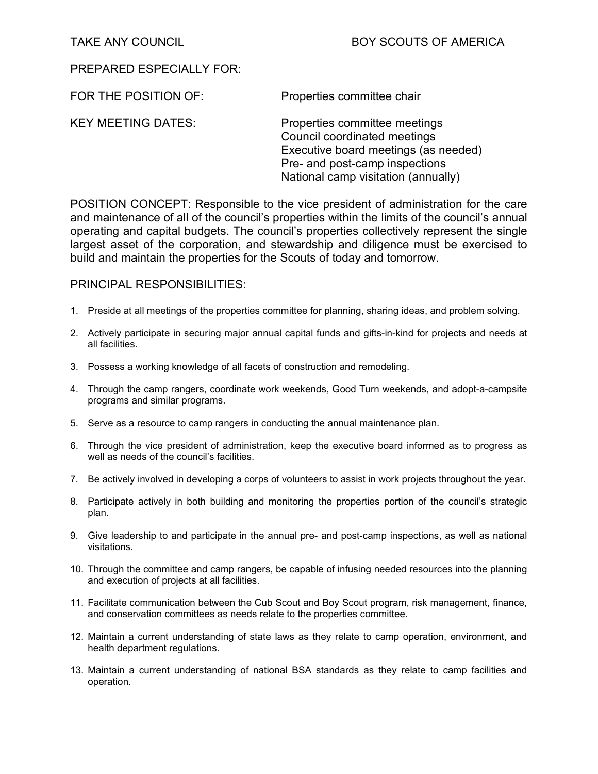FOR THE POSITION OF: Properties committee chair

KEY MEETING DATES: Properties committee meetings Council coordinated meetings Executive board meetings (as needed) Pre- and post-camp inspections National camp visitation (annually)

POSITION CONCEPT: Responsible to the vice president of administration for the care and maintenance of all of the council's properties within the limits of the council's annual operating and capital budgets. The council's properties collectively represent the single largest asset of the corporation, and stewardship and diligence must be exercised to build and maintain the properties for the Scouts of today and tomorrow.

- 1. Preside at all meetings of the properties committee for planning, sharing ideas, and problem solving.
- 2. Actively participate in securing major annual capital funds and gifts-in-kind for projects and needs at all facilities.
- 3. Possess a working knowledge of all facets of construction and remodeling.
- 4. Through the camp rangers, coordinate work weekends, Good Turn weekends, and adopt-a-campsite programs and similar programs.
- 5. Serve as a resource to camp rangers in conducting the annual maintenance plan.
- 6. Through the vice president of administration, keep the executive board informed as to progress as well as needs of the council's facilities.
- 7. Be actively involved in developing a corps of volunteers to assist in work projects throughout the year.
- 8. Participate actively in both building and monitoring the properties portion of the council's strategic plan.
- 9. Give leadership to and participate in the annual pre- and post-camp inspections, as well as national visitations.
- 10. Through the committee and camp rangers, be capable of infusing needed resources into the planning and execution of projects at all facilities.
- 11. Facilitate communication between the Cub Scout and Boy Scout program, risk management, finance, and conservation committees as needs relate to the properties committee.
- 12. Maintain a current understanding of state laws as they relate to camp operation, environment, and health department regulations.
- 13. Maintain a current understanding of national BSA standards as they relate to camp facilities and operation.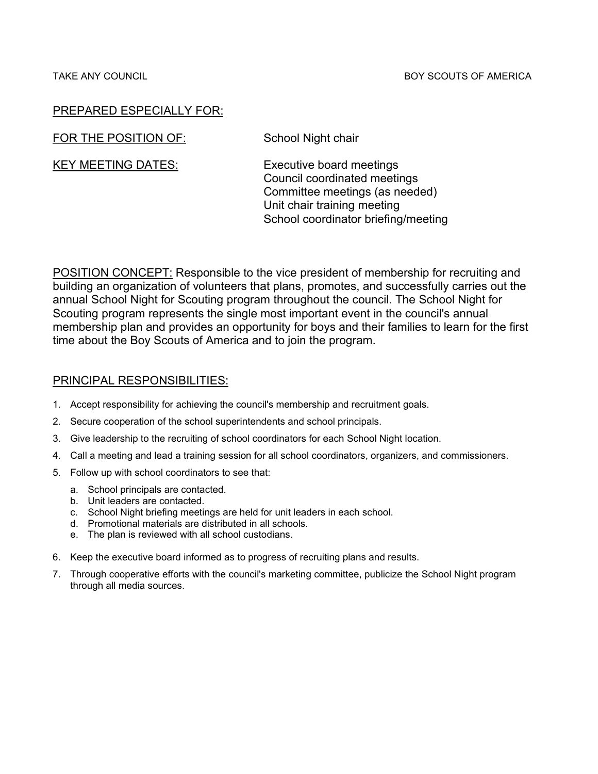#### TAKE ANY COUNCIL **Example 20 and 20 and 20 and 20 and 20 and 20 and 20 and 20 and 20 and 20 and 20 and 20 and 20 and 20 and 20 and 20 and 20 and 20 and 20 and 20 and 20 and 20 and 20 and 20 and 20 and 20 and 20 and 20 and**

## PREPARED ESPECIALLY FOR:

FOR THE POSITION OF: School Night chair

KEY MEETING DATES: Executive board meetings Council coordinated meetings Committee meetings (as needed) Unit chair training meeting School coordinator briefing/meeting

POSITION CONCEPT: Responsible to the vice president of membership for recruiting and building an organization of volunteers that plans, promotes, and successfully carries out the annual School Night for Scouting program throughout the council. The School Night for Scouting program represents the single most important event in the council's annual membership plan and provides an opportunity for boys and their families to learn for the first time about the Boy Scouts of America and to join the program.

- 1. Accept responsibility for achieving the council's membership and recruitment goals.
- 2. Secure cooperation of the school superintendents and school principals.
- 3. Give leadership to the recruiting of school coordinators for each School Night location.
- 4. Call a meeting and lead a training session for all school coordinators, organizers, and commissioners.
- 5. Follow up with school coordinators to see that:
	- a. School principals are contacted.
	- b. Unit leaders are contacted.
	- c. School Night briefing meetings are held for unit leaders in each school.
	- d. Promotional materials are distributed in all schools.
	- e. The plan is reviewed with all school custodians.
- 6. Keep the executive board informed as to progress of recruiting plans and results.
- 7. Through cooperative efforts with the council's marketing committee, publicize the School Night program through all media sources.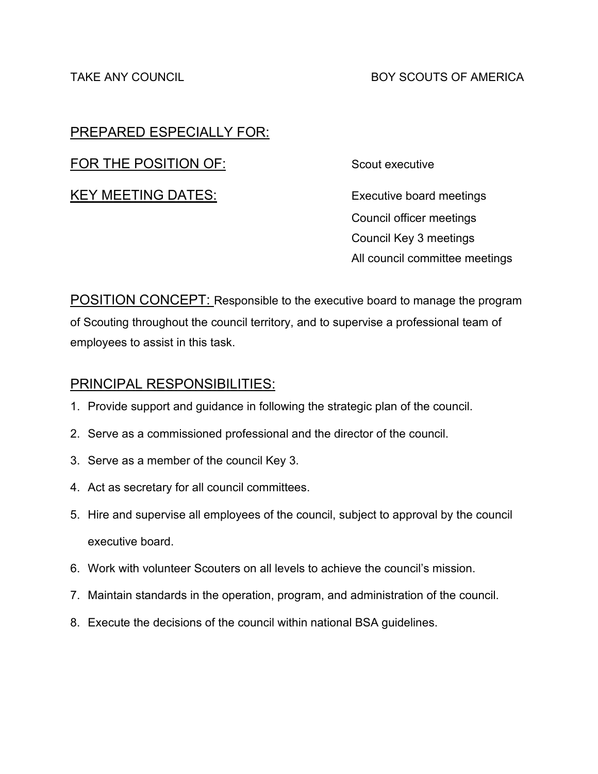FOR THE POSITION OF: Scout executive

KEY MEETING DATES: Executive board meetings

Council officer meetings Council Key 3 meetings All council committee meetings

**POSITION CONCEPT:** Responsible to the executive board to manage the program of Scouting throughout the council territory, and to supervise a professional team of employees to assist in this task.

- 1. Provide support and guidance in following the strategic plan of the council.
- 2. Serve as a commissioned professional and the director of the council.
- 3. Serve as a member of the council Key 3.
- 4. Act as secretary for all council committees.
- 5. Hire and supervise all employees of the council, subject to approval by the council executive board.
- 6. Work with volunteer Scouters on all levels to achieve the council's mission.
- 7. Maintain standards in the operation, program, and administration of the council.
- 8. Execute the decisions of the council within national BSA guidelines.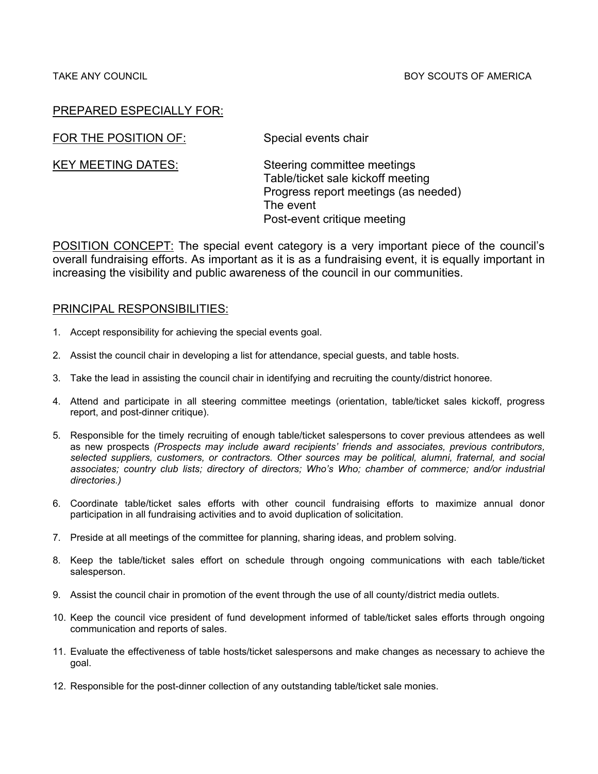FOR THE POSITION OF: Special events chair

KEY MEETING DATES: Steering committee meetings Table/ticket sale kickoff meeting Progress report meetings (as needed) The event Post-event critique meeting

POSITION CONCEPT: The special event category is a very important piece of the council's overall fundraising efforts. As important as it is as a fundraising event, it is equally important in increasing the visibility and public awareness of the council in our communities.

- 1. Accept responsibility for achieving the special events goal.
- 2. Assist the council chair in developing a list for attendance, special guests, and table hosts.
- 3. Take the lead in assisting the council chair in identifying and recruiting the county/district honoree.
- 4. Attend and participate in all steering committee meetings (orientation, table/ticket sales kickoff, progress report, and post-dinner critique).
- 5. Responsible for the timely recruiting of enough table/ticket salespersons to cover previous attendees as well as new prospects *(Prospects may include award recipients' friends and associates, previous contributors, selected suppliers, customers, or contractors. Other sources may be political, alumni, fraternal, and social associates; country club lists; directory of directors; Who's Who; chamber of commerce; and/or industrial directories.)*
- 6. Coordinate table/ticket sales efforts with other council fundraising efforts to maximize annual donor participation in all fundraising activities and to avoid duplication of solicitation.
- 7. Preside at all meetings of the committee for planning, sharing ideas, and problem solving.
- 8. Keep the table/ticket sales effort on schedule through ongoing communications with each table/ticket salesperson.
- 9. Assist the council chair in promotion of the event through the use of all county/district media outlets.
- 10. Keep the council vice president of fund development informed of table/ticket sales efforts through ongoing communication and reports of sales.
- 11. Evaluate the effectiveness of table hosts/ticket salespersons and make changes as necessary to achieve the goal.
- 12. Responsible for the post-dinner collection of any outstanding table/ticket sale monies.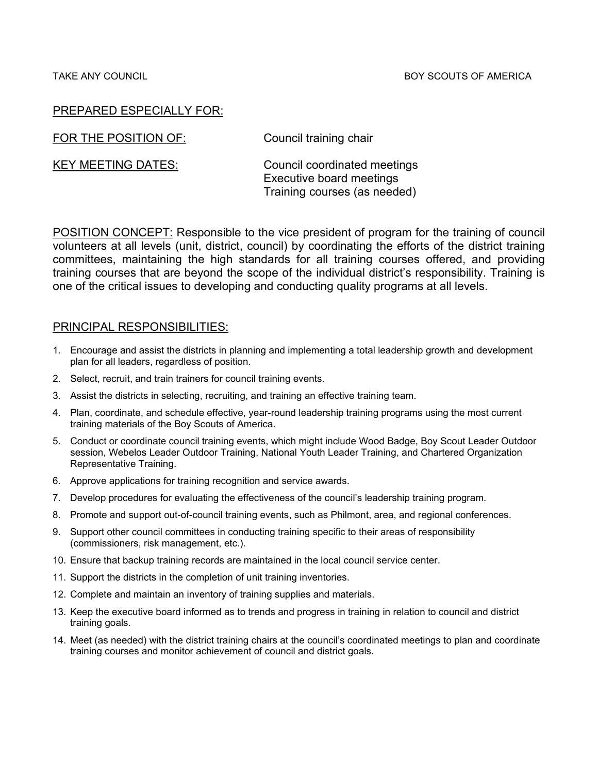FOR THE POSITION OF: Council training chair

KEY MEETING DATES: Council coordinated meetings Executive board meetings Training courses (as needed)

POSITION CONCEPT: Responsible to the vice president of program for the training of council volunteers at all levels (unit, district, council) by coordinating the efforts of the district training committees, maintaining the high standards for all training courses offered, and providing training courses that are beyond the scope of the individual district's responsibility. Training is one of the critical issues to developing and conducting quality programs at all levels.

- 1. Encourage and assist the districts in planning and implementing a total leadership growth and development plan for all leaders, regardless of position.
- 2. Select, recruit, and train trainers for council training events.
- 3. Assist the districts in selecting, recruiting, and training an effective training team.
- 4. Plan, coordinate, and schedule effective, year-round leadership training programs using the most current training materials of the Boy Scouts of America.
- 5. Conduct or coordinate council training events, which might include Wood Badge, Boy Scout Leader Outdoor session, Webelos Leader Outdoor Training, National Youth Leader Training, and Chartered Organization Representative Training.
- 6. Approve applications for training recognition and service awards.
- 7. Develop procedures for evaluating the effectiveness of the council's leadership training program.
- 8. Promote and support out-of-council training events, such as Philmont, area, and regional conferences.
- 9. Support other council committees in conducting training specific to their areas of responsibility (commissioners, risk management, etc.).
- 10. Ensure that backup training records are maintained in the local council service center.
- 11. Support the districts in the completion of unit training inventories.
- 12. Complete and maintain an inventory of training supplies and materials.
- 13. Keep the executive board informed as to trends and progress in training in relation to council and district training goals.
- 14. Meet (as needed) with the district training chairs at the council's coordinated meetings to plan and coordinate training courses and monitor achievement of council and district goals.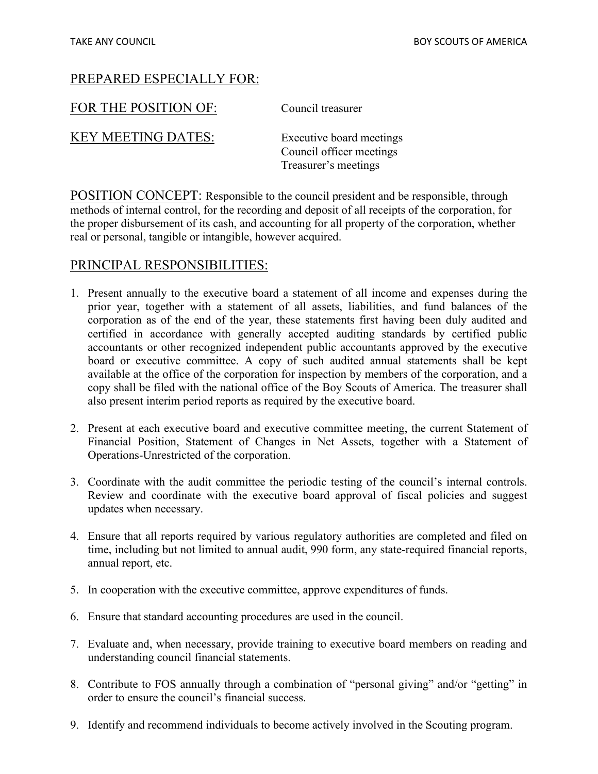| FOR THE POSITION OF: |
|----------------------|
|----------------------|

Council treasurer

KEY MEETING DATES: Executive board meetings

Council officer meetings Treasurer's meetings

POSITION CONCEPT: Responsible to the council president and be responsible, through methods of internal control, for the recording and deposit of all receipts of the corporation, for the proper disbursement of its cash, and accounting for all property of the corporation, whether real or personal, tangible or intangible, however acquired.

- 1. Present annually to the executive board a statement of all income and expenses during the prior year, together with a statement of all assets, liabilities, and fund balances of the corporation as of the end of the year, these statements first having been duly audited and certified in accordance with generally accepted auditing standards by certified public accountants or other recognized independent public accountants approved by the executive board or executive committee. A copy of such audited annual statements shall be kept available at the office of the corporation for inspection by members of the corporation, and a copy shall be filed with the national office of the Boy Scouts of America. The treasurer shall also present interim period reports as required by the executive board.
- 2. Present at each executive board and executive committee meeting, the current Statement of Financial Position, Statement of Changes in Net Assets, together with a Statement of Operations-Unrestricted of the corporation.
- 3. Coordinate with the audit committee the periodic testing of the council's internal controls. Review and coordinate with the executive board approval of fiscal policies and suggest updates when necessary.
- 4. Ensure that all reports required by various regulatory authorities are completed and filed on time, including but not limited to annual audit, 990 form, any state-required financial reports, annual report, etc.
- 5. In cooperation with the executive committee, approve expenditures of funds.
- 6. Ensure that standard accounting procedures are used in the council.
- 7. Evaluate and, when necessary, provide training to executive board members on reading and understanding council financial statements.
- 8. Contribute to FOS annually through a combination of "personal giving" and/or "getting" in order to ensure the council's financial success.
- 9. Identify and recommend individuals to become actively involved in the Scouting program.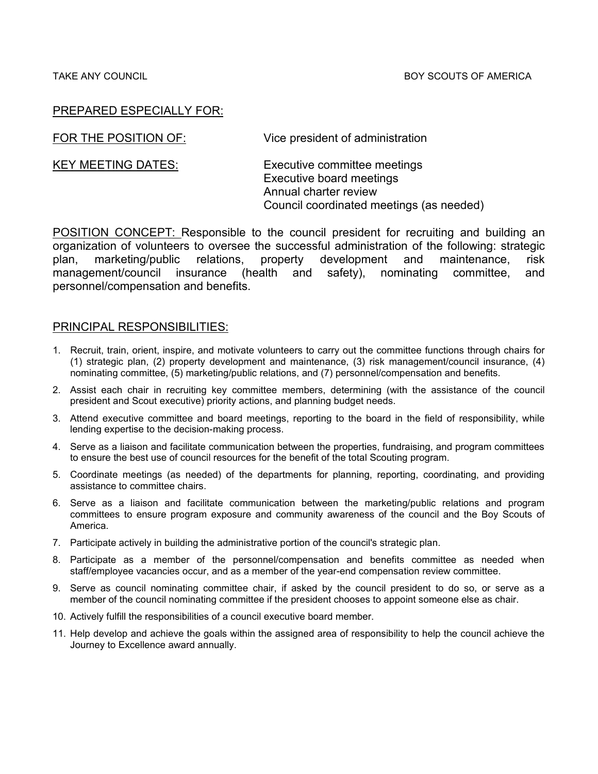| FOR THE POSITION OF:      | Vice president of administration                                                  |
|---------------------------|-----------------------------------------------------------------------------------|
| <b>KEY MEETING DATES:</b> | Executive committee meetings<br>Executive board meetings<br>Annual charter review |
|                           | Council coordinated meetings (as needed)                                          |

POSITION CONCEPT: Responsible to the council president for recruiting and building an organization of volunteers to oversee the successful administration of the following: strategic plan, marketing/public relations, property development and maintenance, risk management/council insurance (health and safety), nominating committee, and personnel/compensation and benefits.

- 1. Recruit, train, orient, inspire, and motivate volunteers to carry out the committee functions through chairs for (1) strategic plan, (2) property development and maintenance, (3) risk management/council insurance, (4) nominating committee, (5) marketing/public relations, and (7) personnel/compensation and benefits.
- 2. Assist each chair in recruiting key committee members, determining (with the assistance of the council president and Scout executive) priority actions, and planning budget needs.
- 3. Attend executive committee and board meetings, reporting to the board in the field of responsibility, while lending expertise to the decision-making process.
- 4. Serve as a liaison and facilitate communication between the properties, fundraising, and program committees to ensure the best use of council resources for the benefit of the total Scouting program.
- 5. Coordinate meetings (as needed) of the departments for planning, reporting, coordinating, and providing assistance to committee chairs.
- 6. Serve as a liaison and facilitate communication between the marketing/public relations and program committees to ensure program exposure and community awareness of the council and the Boy Scouts of America.
- 7. Participate actively in building the administrative portion of the council's strategic plan.
- 8. Participate as a member of the personnel/compensation and benefits committee as needed when staff/employee vacancies occur, and as a member of the year-end compensation review committee.
- 9. Serve as council nominating committee chair, if asked by the council president to do so, or serve as a member of the council nominating committee if the president chooses to appoint someone else as chair.
- 10. Actively fulfill the responsibilities of a council executive board member.
- 11. Help develop and achieve the goals within the assigned area of responsibility to help the council achieve the Journey to Excellence award annually.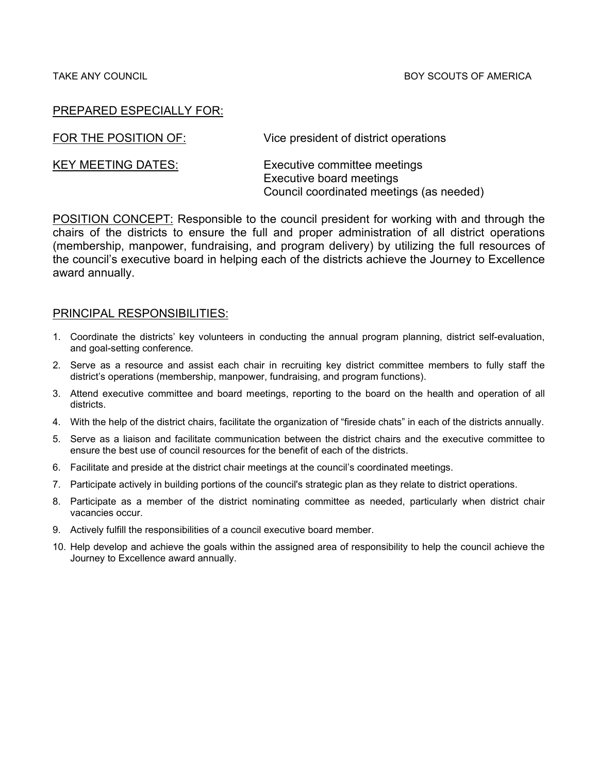| FOR THE POSITION OF:      | Vice president of district operations                                                                |
|---------------------------|------------------------------------------------------------------------------------------------------|
| <b>KEY MEETING DATES:</b> | Executive committee meetings<br>Executive board meetings<br>Council coordinated meetings (as needed) |

POSITION CONCEPT: Responsible to the council president for working with and through the chairs of the districts to ensure the full and proper administration of all district operations (membership, manpower, fundraising, and program delivery) by utilizing the full resources of the council's executive board in helping each of the districts achieve the Journey to Excellence award annually.

- 1. Coordinate the districts' key volunteers in conducting the annual program planning, district self-evaluation, and goal-setting conference.
- 2. Serve as a resource and assist each chair in recruiting key district committee members to fully staff the district's operations (membership, manpower, fundraising, and program functions).
- 3. Attend executive committee and board meetings, reporting to the board on the health and operation of all districts.
- 4. With the help of the district chairs, facilitate the organization of "fireside chats" in each of the districts annually.
- 5. Serve as a liaison and facilitate communication between the district chairs and the executive committee to ensure the best use of council resources for the benefit of each of the districts.
- 6. Facilitate and preside at the district chair meetings at the council's coordinated meetings.
- 7. Participate actively in building portions of the council's strategic plan as they relate to district operations.
- 8. Participate as a member of the district nominating committee as needed, particularly when district chair vacancies occur.
- 9. Actively fulfill the responsibilities of a council executive board member.
- 10. Help develop and achieve the goals within the assigned area of responsibility to help the council achieve the Journey to Excellence award annually.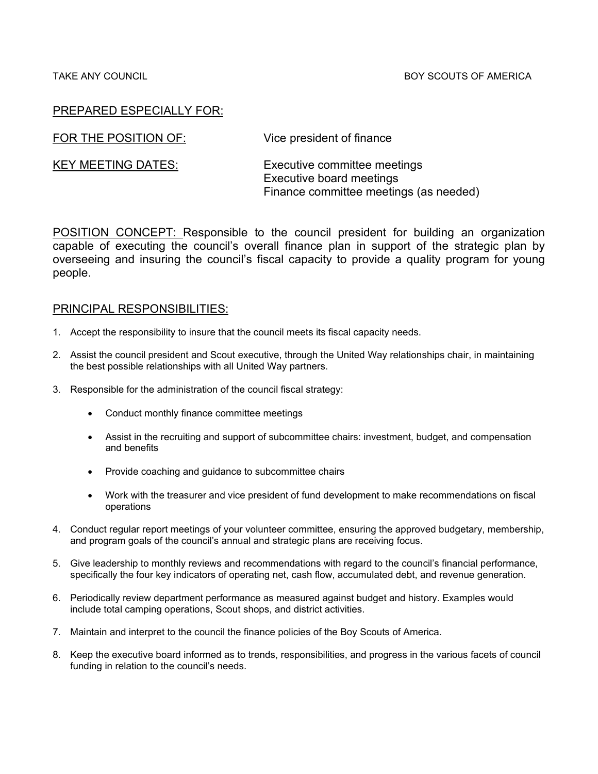#### TAKE ANY COUNCIL BOY SCOUTS OF AMERICA

## PREPARED ESPECIALLY FOR:

FOR THE POSITION OF: Vice president of finance

KEY MEETING DATES: Executive committee meetings Executive board meetings Finance committee meetings (as needed)

POSITION CONCEPT: Responsible to the council president for building an organization capable of executing the council's overall finance plan in support of the strategic plan by overseeing and insuring the council's fiscal capacity to provide a quality program for young people.

- 1. Accept the responsibility to insure that the council meets its fiscal capacity needs.
- 2. Assist the council president and Scout executive, through the United Way relationships chair, in maintaining the best possible relationships with all United Way partners.
- 3. Responsible for the administration of the council fiscal strategy:
	- Conduct monthly finance committee meetings
	- Assist in the recruiting and support of subcommittee chairs: investment, budget, and compensation and benefits
	- Provide coaching and guidance to subcommittee chairs
	- Work with the treasurer and vice president of fund development to make recommendations on fiscal operations
- 4. Conduct regular report meetings of your volunteer committee, ensuring the approved budgetary, membership, and program goals of the council's annual and strategic plans are receiving focus.
- 5. Give leadership to monthly reviews and recommendations with regard to the council's financial performance, specifically the four key indicators of operating net, cash flow, accumulated debt, and revenue generation.
- 6. Periodically review department performance as measured against budget and history. Examples would include total camping operations, Scout shops, and district activities.
- 7. Maintain and interpret to the council the finance policies of the Boy Scouts of America.
- 8. Keep the executive board informed as to trends, responsibilities, and progress in the various facets of council funding in relation to the council's needs.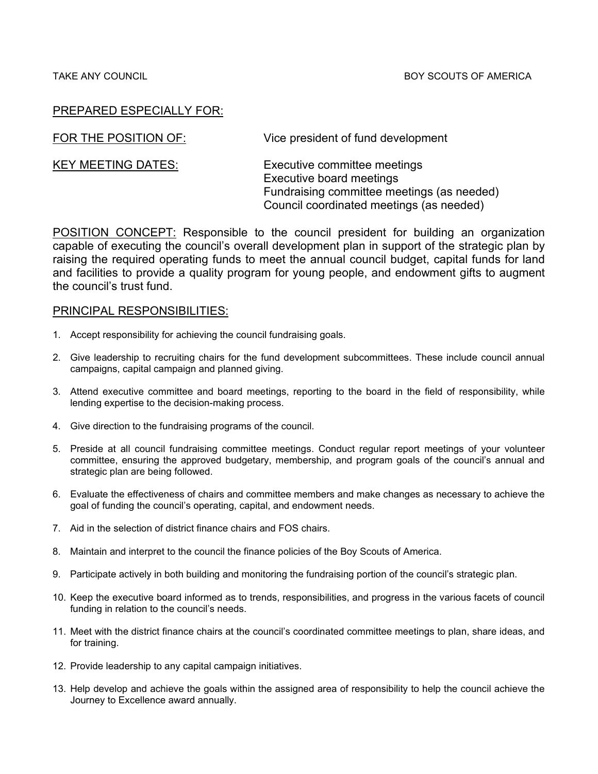| FOR THE POSITION OF:      | Vice president of fund development                                                                                                                 |
|---------------------------|----------------------------------------------------------------------------------------------------------------------------------------------------|
| <b>KEY MEETING DATES:</b> | Executive committee meetings<br>Executive board meetings<br>Fundraising committee meetings (as needed)<br>Council coordinated meetings (as needed) |

POSITION CONCEPT: Responsible to the council president for building an organization capable of executing the council's overall development plan in support of the strategic plan by raising the required operating funds to meet the annual council budget, capital funds for land and facilities to provide a quality program for young people, and endowment gifts to augment the council's trust fund.

- 1. Accept responsibility for achieving the council fundraising goals.
- 2. Give leadership to recruiting chairs for the fund development subcommittees. These include council annual campaigns, capital campaign and planned giving.
- 3. Attend executive committee and board meetings, reporting to the board in the field of responsibility, while lending expertise to the decision-making process.
- 4. Give direction to the fundraising programs of the council.
- 5. Preside at all council fundraising committee meetings. Conduct regular report meetings of your volunteer committee, ensuring the approved budgetary, membership, and program goals of the council's annual and strategic plan are being followed.
- 6. Evaluate the effectiveness of chairs and committee members and make changes as necessary to achieve the goal of funding the council's operating, capital, and endowment needs.
- 7. Aid in the selection of district finance chairs and FOS chairs.
- 8. Maintain and interpret to the council the finance policies of the Boy Scouts of America.
- 9. Participate actively in both building and monitoring the fundraising portion of the council's strategic plan.
- 10. Keep the executive board informed as to trends, responsibilities, and progress in the various facets of council funding in relation to the council's needs.
- 11. Meet with the district finance chairs at the council's coordinated committee meetings to plan, share ideas, and for training.
- 12. Provide leadership to any capital campaign initiatives.
- 13. Help develop and achieve the goals within the assigned area of responsibility to help the council achieve the Journey to Excellence award annually.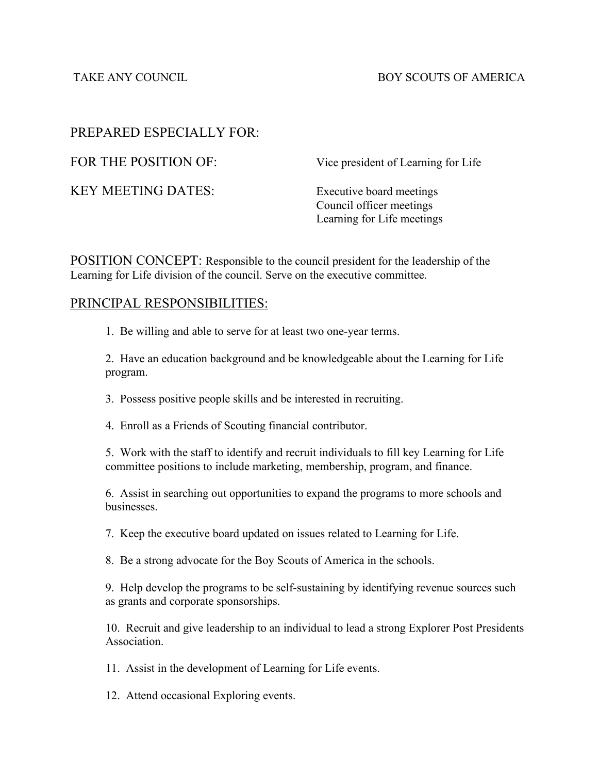TAKE ANY COUNCIL **Example 2** and the BOY SCOUTS OF AMERICA

# PREPARED ESPECIALLY FOR:

KEY MEETING DATES: Executive board meetings

FOR THE POSITION OF: Vice president of Learning for Life

Council officer meetings Learning for Life meetings

POSITION CONCEPT: Responsible to the council president for the leadership of the Learning for Life division of the council. Serve on the executive committee.

# PRINCIPAL RESPONSIBILITIES:

1. Be willing and able to serve for at least two one-year terms.

2. Have an education background and be knowledgeable about the Learning for Life program.

3. Possess positive people skills and be interested in recruiting.

4. Enroll as a Friends of Scouting financial contributor.

5. Work with the staff to identify and recruit individuals to fill key Learning for Life committee positions to include marketing, membership, program, and finance.

6. Assist in searching out opportunities to expand the programs to more schools and businesses.

7. Keep the executive board updated on issues related to Learning for Life.

8. Be a strong advocate for the Boy Scouts of America in the schools.

9. Help develop the programs to be self-sustaining by identifying revenue sources such as grants and corporate sponsorships.

10. Recruit and give leadership to an individual to lead a strong Explorer Post Presidents Association.

11. Assist in the development of Learning for Life events.

12. Attend occasional Exploring events.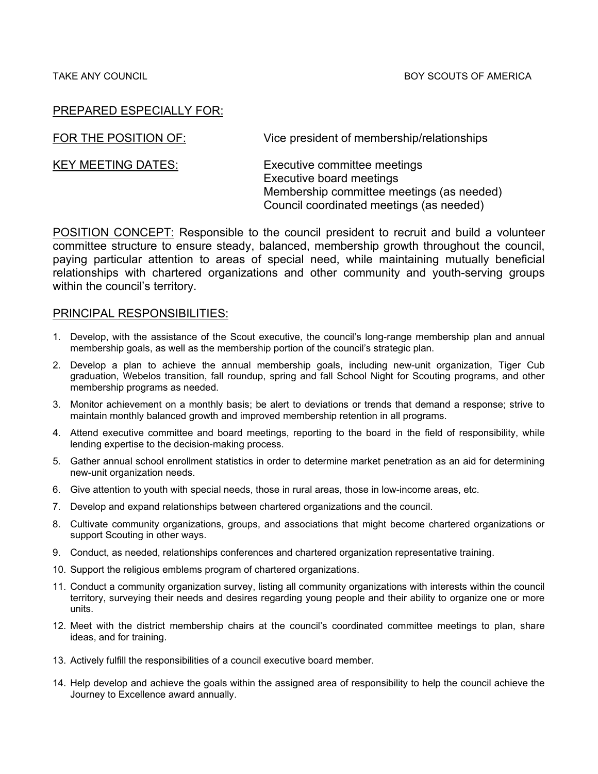| FOR THE POSITION OF:      | Vice president of membership/relationships                                                                                                        |
|---------------------------|---------------------------------------------------------------------------------------------------------------------------------------------------|
| <b>KEY MEETING DATES:</b> | Executive committee meetings<br>Executive board meetings<br>Membership committee meetings (as needed)<br>Council coordinated meetings (as needed) |

POSITION CONCEPT: Responsible to the council president to recruit and build a volunteer committee structure to ensure steady, balanced, membership growth throughout the council, paying particular attention to areas of special need, while maintaining mutually beneficial relationships with chartered organizations and other community and youth-serving groups within the council's territory.

- 1. Develop, with the assistance of the Scout executive, the council's long-range membership plan and annual membership goals, as well as the membership portion of the council's strategic plan.
- 2. Develop a plan to achieve the annual membership goals, including new-unit organization, Tiger Cub graduation, Webelos transition, fall roundup, spring and fall School Night for Scouting programs, and other membership programs as needed.
- 3. Monitor achievement on a monthly basis; be alert to deviations or trends that demand a response; strive to maintain monthly balanced growth and improved membership retention in all programs.
- 4. Attend executive committee and board meetings, reporting to the board in the field of responsibility, while lending expertise to the decision-making process.
- 5. Gather annual school enrollment statistics in order to determine market penetration as an aid for determining new-unit organization needs.
- 6. Give attention to youth with special needs, those in rural areas, those in low-income areas, etc.
- 7. Develop and expand relationships between chartered organizations and the council.
- 8. Cultivate community organizations, groups, and associations that might become chartered organizations or support Scouting in other ways.
- 9. Conduct, as needed, relationships conferences and chartered organization representative training.
- 10. Support the religious emblems program of chartered organizations.
- 11. Conduct a community organization survey, listing all community organizations with interests within the council territory, surveying their needs and desires regarding young people and their ability to organize one or more units.
- 12. Meet with the district membership chairs at the council's coordinated committee meetings to plan, share ideas, and for training.
- 13. Actively fulfill the responsibilities of a council executive board member.
- 14. Help develop and achieve the goals within the assigned area of responsibility to help the council achieve the Journey to Excellence award annually.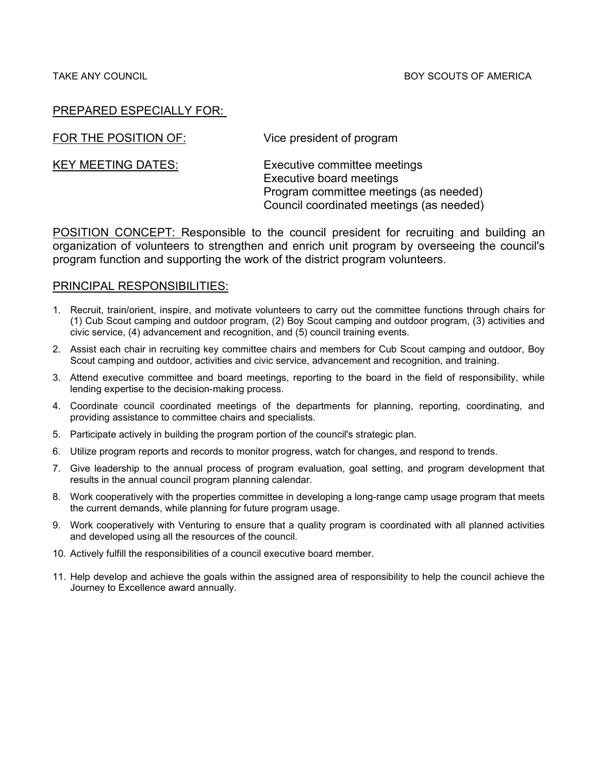FOR THE POSITION OF: Vice president of program

KEY MEETING DATES: Executive committee meetings Executive board meetings Program committee meetings (as needed) Council coordinated meetings (as needed)

POSITION CONCEPT: Responsible to the council president for recruiting and building an organization of volunteers to strengthen and enrich unit program by overseeing the council's program function and supporting the work of the district program volunteers.

- 1. Recruit, train/orient, inspire, and motivate volunteers to carry out the committee functions through chairs for (1) Cub Scout camping and outdoor program, (2) Boy Scout camping and outdoor program, (3) activities and civic service, (4) advancement and recognition, and (5) council training events.
- 2. Assist each chair in recruiting key committee chairs and members for Cub Scout camping and outdoor, Boy Scout camping and outdoor, activities and civic service, advancement and recognition, and training.
- 3. Attend executive committee and board meetings, reporting to the board in the field of responsibility, while lending expertise to the decision-making process.
- 4. Coordinate council coordinated meetings of the departments for planning, reporting, coordinating, and providing assistance to committee chairs and specialists.
- 5. Participate actively in building the program portion of the council's strategic plan.
- 6. Utilize program reports and records to monitor progress, watch for changes, and respond to trends.
- 7. Give leadership to the annual process of program evaluation, goal setting, and program development that results in the annual council program planning calendar.
- 8. Work cooperatively with the properties committee in developing a long-range camp usage program that meets the current demands, while planning for future program usage.
- 9. Work cooperatively with Venturing to ensure that a quality program is coordinated with all planned activities and developed using all the resources of the council.
- 10. Actively fulfill the responsibilities of a council executive board member.
- 11. Help develop and achieve the goals within the assigned area of responsibility to help the council achieve the Journey to Excellence award annually.